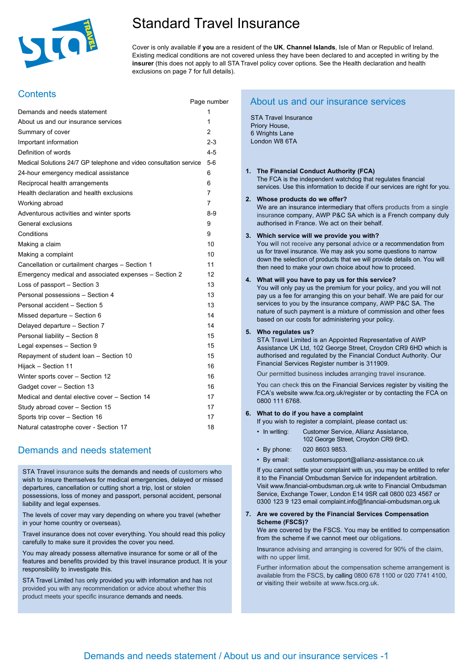

# Standard Travel Insurance

Page number

Cover is only available if **you** are a resident of the **UK**, **Channel Islands**, Isle of Man or Republic of Ireland. Existing medical conditions are not covered unless they have been declared to and accepted in writing by the **insurer** (this does not apply to all STA Travel policy cover options. See the Health declaration and health exclusions on page 7 for full details).

## **Contents**

| Demands and needs statement                                        | 1       |
|--------------------------------------------------------------------|---------|
| About us and our insurance services                                | 1       |
| Summary of cover                                                   | 2       |
| Important information                                              | $2 - 3$ |
| Definition of words                                                | 4-5     |
| Medical Solutions 24/7 GP telephone and video consultation service | $5-6$   |
| 24-hour emergency medical assistance                               | 6       |
| Reciprocal health arrangements                                     | 6       |
| Health declaration and health exclusions                           | 7       |
| Working abroad                                                     | 7       |
| Adventurous activities and winter sports                           | 8-9     |
| General exclusions                                                 | 9       |
| Conditions                                                         | 9       |
| Making a claim                                                     | 10      |
| Making a complaint                                                 | 10      |
| Cancellation or curtailment charges - Section 1                    | 11      |
| Emergency medical and associated expenses - Section 2              | 12      |
| Loss of passport - Section 3                                       | 13      |
| Personal possessions - Section 4                                   | 13      |
| Personal accident - Section 5                                      | 13      |
| Missed departure - Section 6                                       | 14      |
| Delayed departure - Section 7                                      | 14      |
| Personal liability - Section 8                                     | 15      |
| Legal expenses - Section 9                                         | 15      |
| Repayment of student loan - Section 10                             | 15      |
| Hijack - Section 11                                                | 16      |
| Winter sports cover - Section 12                                   | 16      |
| Gadget cover - Section 13                                          | 16      |
| Medical and dental elective cover - Section 14                     | 17      |
| Study abroad cover - Section 15                                    | 17      |
| Sports trip cover - Section 16                                     | 17      |
| Natural catastrophe cover - Section 17                             | 18      |

## Demands and needs statement

STA Travel insurance suits the demands and needs of customers who wish to insure themselves for medical emergencies, delayed or missed departures, cancellation or cutting short a trip, lost or stolen possessions, loss of money and passport, personal accident, personal liability and legal expenses.

The levels of cover may vary depending on where you travel (whether in your home country or overseas).

Travel insurance does not cover everything. You should read this policy carefully to make sure it provides the cover you need.

You may already possess alternative insurance for some or all of the features and benefits provided by this travel insurance product. It is your responsibility to investigate this.

STA Travel Limited has only provided you with information and has not provided you with any recommendation or advice about whether this product meets your specific insurance demands and needs.

## About us and our insurance services

STA Travel Insurance Priory House, 6 Wrights Lane London W8 6TA

## **1. The Financial Conduct Authority (FCA)**

The FCA is the independent watchdog that regulates financial services. Use this information to decide if our services are right for you.

## **2. Whose products do we offer?**

We are an insurance intermediary that offers products from a single insurance company, AWP P&C SA which is a French company duly authorised in France. We act on their behalf.

## **3. Which service will we provide you with?**

You will not receive any personal advice or a recommendation from us for travel insurance. We may ask you some questions to narrow down the selection of products that we will provide details on. You will then need to make your own choice about how to proceed.

## **4. What will you have to pay us for this service?**

You will only pay us the premium for your policy, and you will not pay us a fee for arranging this on your behalf. We are paid for our services to you by the insurance company, AWP P&C SA. The nature of such payment is a mixture of commission and other fees based on our costs for administering your policy.

## **5. Who regulates us?**

STA Travel Limited is an Appointed Representative of AWP Assistance UK Ltd, 102 George Street, Croydon CR9 6HD which is authorised and regulated by the Financial Conduct Authority. Our Financial Services Register number is 311909.

Our permitted business includes arranging travel insurance.

You can check this on the Financial Services register by visiting the FCA's website www.fca.org.uk/register or by contacting the FCA on 0800 111 6768.

## **6. What to do if you have a complaint**

If you wish to register a complaint, please contact us:

- In writing: Customer Service, Allianz Assistance, 102 George Street, Croydon CR9 6HD.
- By phone: 020 8603 9853.
- By email: customersupport@allianz-assistance.co.uk

If you cannot settle your complaint with us, you may be entitled to refer it to the Financial Ombudsman Service for independent arbitration. Visit www.financial-ombudsman.org.uk write to Financial Ombudsman Service, Exchange Tower, London E14 9SR call 0800 023 4567 or 0300 123 9 123 email complaint.info@financial-ombudsman.org.uk

### **7. Are we covered by the Financial Services Compensation Scheme (FSCS)?** We are covered by the FSCS. You may be entitled to compensation

from the scheme if we cannot meet our obligations.

Insurance advising and arranging is covered for 90% of the claim, with no upper limit.

Further information about the compensation scheme arrangement is available from the FSCS, by calling 0800 678 1100 or 020 7741 4100, or visiting their website at www.fscs.org.uk.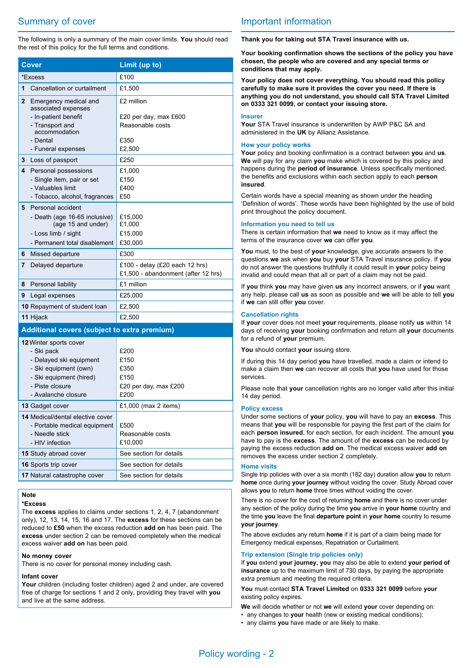# Summary of cover

The following is only a summary of the main cover limits. **You** should read the rest of this policy for the full terms and conditions.

| <b>Cover</b>                                                                                                                                                  | Limit (up to)                                                         |
|---------------------------------------------------------------------------------------------------------------------------------------------------------------|-----------------------------------------------------------------------|
| *Excess                                                                                                                                                       | £100                                                                  |
| Cancellation or curtailment<br>1                                                                                                                              | £1,500                                                                |
| $\mathbf{2}$<br>Emergency medical and<br>associated expenses                                                                                                  | £2 million                                                            |
| - In-patient benefit<br>- Transport and<br>accommodation                                                                                                      | £20 per day, max £600<br>Reasonable costs                             |
| - Dental<br>- Funeral expenses                                                                                                                                | £350<br>£2,500                                                        |
| 3                                                                                                                                                             | £250                                                                  |
| Loss of passport                                                                                                                                              |                                                                       |
| 4<br>Personal possessions<br>- Single item, pair or set<br>- Valuables limit<br>- Tobacco, alcohol, fragrances                                                | £1,000<br>£150<br>£400<br>£50                                         |
| Personal accident<br>5                                                                                                                                        |                                                                       |
| - Death (age 16-65 inclusive)<br>(age 15 and under)                                                                                                           | £15,000<br>£1,000                                                     |
| - Loss limb / sight<br>- Permanent total disablement                                                                                                          | £15,000                                                               |
|                                                                                                                                                               | £30,000                                                               |
| 6<br>Missed departure                                                                                                                                         | £300                                                                  |
| 7<br>Delayed departure                                                                                                                                        | £100 - delay (£20 each 12 hrs)<br>£1,500 - abandonment (after 12 hrs) |
| Personal liability<br>8                                                                                                                                       | £1 million                                                            |
| 9<br>Legal expenses                                                                                                                                           | £25,000                                                               |
| 10 Repayment of student loan                                                                                                                                  | £2,500                                                                |
| 11 Hijack                                                                                                                                                     | £2,500                                                                |
| Additional covers (subject to extra premium)                                                                                                                  |                                                                       |
| 12 Winter sports cover<br>- Ski pack<br>- Delayed ski equipment<br>- Ski equipment (own)<br>- Ski equipment (hired)<br>- Piste closure<br>- Avalanche closure | £200<br>£150<br>£350<br>£150<br>£20 per day, max £200<br>£200         |
| 13 Gadget cover                                                                                                                                               | £1,000 (max 2 items)                                                  |
| 14 Medical/dental elective cover<br>- Portable medical equipment<br>- Needle stick<br>- HIV infection                                                         | £500<br>Reasonable costs<br>£10,000                                   |
| 15 Study abroad cover                                                                                                                                         | See section for details                                               |
| 16 Sports trip cover                                                                                                                                          | See section for details                                               |
| 17 Natural catastrophe cover                                                                                                                                  | See section for details                                               |

## **Note**

## **\*Excess**

The **excess** applies to claims under sections 1, 2, 4, 7 (abandonment only), 12, 13, 14, 15, 16 and 17. The **excess** for these sections can be reduced to **£50** when the excess reduction **add on** has been paid. The **excess** under section 2 can be removed completely when the medical excess waiver **add on** has been paid.

### **No money cover**

There is no cover for personal money including cash.

#### **Infant cover**

**Your** children (including foster children) aged 2 and under, are covered free of charge for sections 1 and 2 only, providing they travel with **you** and live at the same address.

## Important information

**Thank you for taking out STA Travel insurance with us.**

**Your booking confirmation shows the sections of the policy you have chosen, the people who are covered and any special terms or conditions that may apply.**

**Your policy does not cover everything. You should read this policy carefully to make sure it provides the cover you need. If there is anything you do not understand, you should call STA Travel Limited on 0333 321 0099, or contact your issuing store.** 

### **Insurer**

**Your** STA Travel insurance is underwritten by AWP P&C SA and administered in the **UK** by Allianz Assistance.

### **How your policy works**

**Your** policy and booking confirmation is a contract between **you** and **us**. **We** will pay for any claim **you** make which is covered by this policy and happens during the **period of insurance**. Unless specifically mentioned, the benefits and exclusions within each section apply to each **person insured**.

Certain words have a special meaning as shown under the heading 'Definition of words'. These words have been highlighted by the use of bold print throughout the policy document.

#### **Information you need to tell us**

There is certain information that **we** need to know as it may affect the terms of the insurance cover **we** can offer **you**.

**You** must, to the best of **your** knowledge, give accurate answers to the questions **we** ask when **you** buy **your** STA Travel insurance policy. If **you** do not answer the questions truthfully it could result in **your** policy being invalid and could mean that all or part of a claim may not be paid.

If **you** think **you** may have given **us** any incorrect answers, or if **you** want any help, please call **us** as soon as possible and **we** will be able to tell **you** if **we** can still offer **you** cover.

#### **Cancellation rights**

If **your** cover does not meet **your** requirements, please notify **us** within 14 days of receiving **your** booking confirmation and return all **your** documents for a refund of **your** premium.

**You** should contact **your** issuing store.

If during this 14 day period **you** have travelled, made a claim or intend to make a claim then **we** can recover all costs that **you** have used for those services.

Please note that **your** cancellation rights are no longer valid after this initial 14 day period.

#### **Policy excess**

Under some sections of **your** policy, **you** will have to pay an **excess**. This means that **you** will be responsible for paying the first part of the claim for each **person insured**, for each section, for each incident. The amount **you** have to pay is the **excess**. The amount of the **excess** can be reduced by paying the excess reduction **add on**. The medical excess waiver **add on** removes the excess under section 2 completely.

#### **Home visits**

Single trip policies with over a six month (182 day) duration allow **you** to return **home** once during **your journey** without voiding the cover. Study Abroad cover allows **you** to return **home** three times without voiding the cover.

There is no cover for the cost of returning **home** and there is no cover under any section of the policy during the time **you** arrive in **your home** country and the time **you** leave the final **departure point** in **your home** country to resume **your journey**.

The above excludes any return **home** if it is part of a claim being made for Emergency medical expenses, Repatriation or Curtailment.

## **Trip extension (Single trip policies only)**

If **you** extend **your journey, you** may also be able to extend **your period of insurance** up to the maximum limit of 730 days, by paying the appropriate extra premium and meeting the required criteria.

**You** must contact **STA Travel Limited** on **0333 321 0099** before **your** existing policy expires.

**We** will decide whether or not **we** will extend **your** cover depending on:

- any changes to **your** health (new or existing medical conditions);
- any claims **you** have made or are likely to make.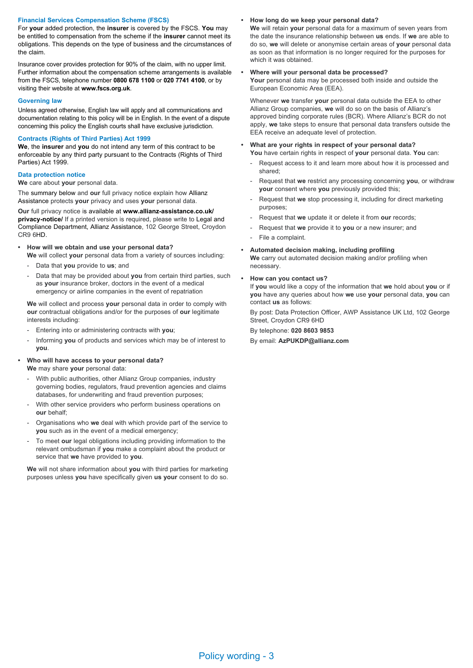### **Financial Services Compensation Scheme (FSCS)**

For **your** added protection, the **insurer** is covered by the FSCS. **You** may be entitled to compensation from the scheme if the **insurer** cannot meet its obligations. This depends on the type of business and the circumstances of the claim.

Insurance cover provides protection for 90% of the claim, with no upper limit. Further information about the compensation scheme arrangements is available from the FSCS, telephone number **0800 678 1100** or **020 7741 4100**, or by visiting their website at **www.fscs.org.uk**.

## **Governing law**

Unless agreed otherwise, English law will apply and all communications and documentation relating to this policy will be in English. In the event of a dispute concerning this policy the English courts shall have exclusive jurisdiction.

## **Contracts (Rights of Third Parties) Act 1999**

**We**, the **insurer** and **you** do not intend any term of this contract to be enforceable by any third party pursuant to the Contracts (Rights of Third Parties) Act 1999.

### **Data protection notice**

**We** care about **your** personal data.

The summary below and **our** full privacy notice explain how Allianz Assistance protects **your** privacy and uses **your** personal data.

**Our** full privacy notice is available at **www.allianz-assistance.co.uk/ privacy-notice/** If a printed version is required, please write to Legal and Compliance Department, Allianz Assistance, 102 George Street, Croydon CR9 6HD.

### **• How will we obtain and use your personal data?**

**We** will collect **your** personal data from a variety of sources including:

- Data that **you** provide to **us**; and
- Data that may be provided about **you** from certain third parties, such as **your** insurance broker, doctors in the event of a medical emergency or airline companies in the event of repatriation

**We** will collect and process **your** personal data in order to comply with **our** contractual obligations and/or for the purposes of **our** legitimate interests including:

- Entering into or administering contracts with **you**;
- Informing **you** of products and services which may be of interest to **you**.

## **• Who will have access to your personal data? We** may share **your** personal data:

- With public authorities, other Allianz Group companies, industry governing bodies, regulators, fraud prevention agencies and claims databases, for underwriting and fraud prevention purposes;
- With other service providers who perform business operations on **our** behalf;
- Organisations who **we** deal with which provide part of the service to **you** such as in the event of a medical emergency;
- To meet **our** legal obligations including providing information to the relevant ombudsman if **you** make a complaint about the product or service that **we** have provided to **you**.

**We** will not share information about **you** with third parties for marketing purposes unless **you** have specifically given **us your** consent to do so.

### **• How long do we keep your personal data?**

**We** will retain **your** personal data for a maximum of seven years from the date the insurance relationship between **us** ends. If **we** are able to do so, **we** will delete or anonymise certain areas of **your** personal data as soon as that information is no longer required for the purposes for which it was obtained.

### **• Where will your personal data be processed?**

**Your** personal data may be processed both inside and outside the European Economic Area (EEA).

Whenever **we** transfer **your** personal data outside the EEA to other Allianz Group companies, **we** will do so on the basis of Allianz's approved binding corporate rules (BCR). Where Allianz's BCR do not apply, **we** take steps to ensure that personal data transfers outside the EEA receive an adequate level of protection.

- **• What are your rights in respect of your personal data? You** have certain rights in respect of **your** personal data. **You** can:
	- Request access to it and learn more about how it is processed and shared;
	- Request that **we** restrict any processing concerning **you**, or withdraw **your** consent where **you** previously provided this;
	- Request that **we** stop processing it, including for direct marketing purposes;
	- Request that **we** update it or delete it from **our** records;
	- Request that **we** provide it to **you** or a new insurer; and
	- File a complaint.
- **• Automated decision making, including profiling**

**We** carry out automated decision making and/or profiling when necessary.

**• How can you contact us?**

If **you** would like a copy of the information that **we** hold about **you** or if **you** have any queries about how **we** use **your** personal data, **you** can contact **us** as follows:

By post: Data Protection Officer, AWP Assistance UK Ltd, 102 George Street, Croydon CR9 6HD

By telephone: **020 8603 9853** By email: **AzPUKDP@allianz.com**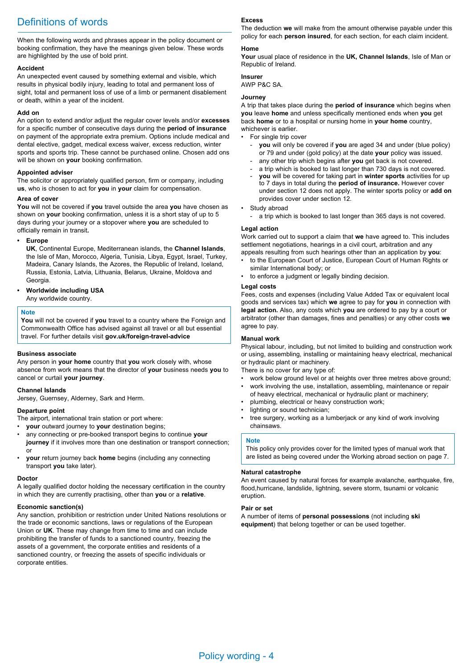# Definitions of words

When the following words and phrases appear in the policy document or booking confirmation, they have the meanings given below. These words are highlighted by the use of bold print.

## **Accident**

An unexpected event caused by something external and visible, which results in physical bodily injury, leading to total and permanent loss of sight, total and permanent loss of use of a limb or permanent disablement or death, within a year of the incident.

## **Add on**

An option to extend and/or adjust the regular cover levels and/or **excesses** for a specific number of consecutive days during the **period of insurance** on payment of the appropriate extra premium. Options include medical and dental elective, gadget, medical excess waiver, excess reduction, winter sports and sports trip. These cannot be purchased online. Chosen add ons will be shown on **your** booking confirmation.

## **Appointed adviser**

The solicitor or appropriately qualified person, firm or company, including **us**, who is chosen to act for **you** in **your** claim for compensation.

## **Area of cover**

**You** will not be covered if **you** travel outside the area **you** have chosen as shown on **your** booking confirmation, unless it is a short stay of up to 5 days during your journey or a stopover where **you** are scheduled to officially remain in transit**.**

## **• Europe**

**UK**, Continental Europe, Mediterranean islands, the **Channel Islands**, the Isle of Man, Morocco, Algeria, Tunisia, Libya, Egypt, Israel, Turkey, Madeira, Canary Islands, the Azores, the Republic of Ireland, Iceland, Russia, Estonia, Latvia, Lithuania, Belarus, Ukraine, Moldova and Georgia.

## **• Worldwide including USA**

Any worldwide country.

## **Note**

**You** will not be covered if **you** travel to a country where the Foreign and Commonwealth Office has advised against all travel or all but essential travel. For further details visit **gov.uk/foreign-travel-advice**

## **Business associate**

Any person in **your home** country that **you** work closely with, whose absence from work means that the director of **your** business needs **you** to cancel or curtail **your journey**.

## **Channel Islands** Jersey, Guernsey, Alderney, Sark and Herm.

## **Departure point**

The airport, international train station or port where:

- **your** outward journey to **your** destination begins;
- any connecting or pre-booked transport begins to continue **your journey** if it involves more than one destination or transport connection; or
- **your** return journey back **home** begins (including any connecting transport **you** take later).

## **Doctor**

A legally qualified doctor holding the necessary certification in the country in which they are currently practising, other than **you** or a **relative**.

## **Economic sanction(s)**

Any sanction, prohibition or restriction under United Nations resolutions or the trade or economic sanctions, laws or regulations of the European Union or **UK**. These may change from time to time and can include prohibiting the transfer of funds to a sanctioned country, freezing the assets of a government, the corporate entities and residents of a sanctioned country, or freezing the assets of specific individuals or corporate entities.

## **Excess**

The deduction **we** will make from the amount otherwise payable under this policy for each **person insured**, for each section, for each claim incident.

## **Home**

**Your** usual place of residence in the **UK, Channel Islands**, Isle of Man or Republic of Ireland.

## **Insurer**

AWP P&C SA.

## **Journey**

A trip that takes place during the **period of insurance** which begins when **you** leave **home** and unless specifically mentioned ends when **you** get back **home** or to a hospital or nursing home in **your home** country, whichever is earlier.

- For single trip cover
	- **vou** will only be covered if **you** are aged 34 and under (blue policy) or 79 and under (gold policy) at the date **your** policy was issued.
	- any other trip which begins after you get back is not covered.
	- a trip which is booked to last longer than 730 days is not covered.
	- **you** will be covered for taking part in **winter sports** activities for up to 7 days in total during the **period of insurance.** However cover under section 12 does not apply. The winter sports policy or **add on** provides cover under section 12.
- Study abroad
	- a trip which is booked to last longer than 365 days is not covered.

## **Legal action**

Work carried out to support a claim that **we** have agreed to. This includes settlement negotiations, hearings in a civil court, arbitration and any appeals resulting from such hearings other than an application by **you**:

- to the European Court of Justice, European Court of Human Rights or similar International body; or
- to enforce a judgment or legally binding decision.

## **Legal costs**

Fees, costs and expenses (including Value Added Tax or equivalent local goods and services tax) which **we** agree to pay for **you** in connection with **legal action.** Also, any costs which **you** are ordered to pay by a court or arbitrator (other than damages, fines and penalties) or any other costs **we** agree to pay.

## **Manual work**

Physical labour, including, but not limited to building and construction work or using, assembling, installing or maintaining heavy electrical, mechanical or hydraulic plant or machinery.

There is no cover for any type of:

- work below ground level or at heights over three metres above ground; • work involving the use, installation, assembling, maintenance or repair
- of heavy electrical, mechanical or hydraulic plant or machinery;
- plumbing, electrical or heavy construction work;
- lighting or sound technician:
- tree surgery, working as a lumberjack or any kind of work involving chainsaws.

### **Note**

This policy only provides cover for the limited types of manual work that are listed as being covered under the Working abroad section on page 7.

### **Natural catastrophe**

An event caused by natural forces for example avalanche, earthquake, fire, flood,hurricane, landslide, lightning, severe storm, tsunami or volcanic eruption.

### **Pair or set**

A number of items of **personal possessions** (not including **ski equipment**) that belong together or can be used together.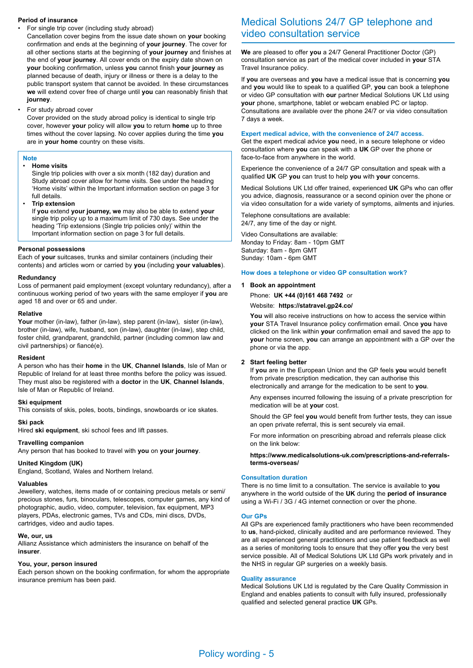### **Period of insurance**

• For single trip cover (including study abroad)

Cancellation cover begins from the issue date shown on **your** booking confirmation and ends at the beginning of **your journey**. The cover for all other sections starts at the beginning of **your journey** and finishes at the end of **your journey**. All cover ends on the expiry date shown on **your** booking confirmation, unless **you** cannot finish **your journey** as planned because of death, injury or illness or there is a delay to the public transport system that cannot be avoided. In these circumstances **we** will extend cover free of charge until **you** can reasonably finish that **journey**.

• For study abroad cover

Cover provided on the study abroad policy is identical to single trip cover, however **your** policy will allow **you** to return **home** up to three times without the cover lapsing. No cover applies during the time **you** are in **your home** country on these visits.

## **Note**

#### • **Home visits**

Single trip policies with over a six month (182 day) duration and Study abroad cover allow for home visits. See under the heading 'Home visits' within the Important information section on page 3 for full details.

• **Trip extension**

If **you** extend **your journey, we** may also be able to extend **your** single trip policy up to a maximum limit of 730 days. See under the heading 'Trip extensions (Single trip policies only)' within the Important information section on page 3 for full details.

#### **Personal possessions**

Each of **your** suitcases, trunks and similar containers (including their contents) and articles worn or carried by **you** (including **your valuables**).

#### **Redundancy**

Loss of permanent paid employment (except voluntary redundancy), after a continuous working period of two years with the same employer if **you** are aged 18 and over or 65 and under.

#### **Relative**

Your mother (in-law), father (in-law), step parent (in-law), sister (in-law), brother (in-law), wife, husband, son (in-law), daughter (in-law), step child, foster child, grandparent, grandchild, partner (including common law and civil partnerships) or fiancé(e).

#### **Resident**

A person who has their **home** in the **UK**, **Channel Islands**, Isle of Man or Republic of Ireland for at least three months before the policy was issued. They must also be registered with a **doctor** in the **UK**, **Channel Islands**, Isle of Man or Republic of Ireland.

#### **Ski equipment**

This consists of skis, poles, boots, bindings, snowboards or ice skates.

### **Ski pack**

Hired **ski equipment**, ski school fees and lift passes.

## **Travelling companion**

Any person that has booked to travel with **you** on **your journey**.

## **United Kingdom (UK)**

England, Scotland, Wales and Northern Ireland.

#### **Valuables**

Jewellery, watches, items made of or containing precious metals or semi/ precious stones, furs, binoculars, telescopes, computer games, any kind of photographic, audio, video, computer, television, fax equipment, MP3 players, PDAs, electronic games, TVs and CDs, mini discs, DVDs, cartridges, video and audio tapes.

#### **We, our, us**

Allianz Assistance which administers the insurance on behalf of the **insurer**.

## **You, your, person insured**

Each person shown on the booking confirmation, for whom the appropriate insurance premium has been paid.

# Medical Solutions 24/7 GP telephone and video consultation service

**We** are pleased to offer **you** a 24/7 General Practitioner Doctor (GP) consultation service as part of the medical cover included in **your** STA Travel Insurance policy.

If **you** are overseas and **you** have a medical issue that is concerning **you** and **you** would like to speak to a qualified GP, **you** can book a telephone or video GP consultation with **our** partner Medical Solutions UK Ltd using **your** phone, smartphone, tablet or webcam enabled PC or laptop. Consultations are available over the phone 24/7 or via video consultation 7 days a week.

## **Expert medical advice, with the convenience of 24/7 access.**

Get the expert medical advice **you** need, in a secure telephone or video consultation where **you** can speak with a **UK** GP over the phone or face-to-face from anywhere in the world.

Experience the convenience of a 24/7 GP consultation and speak with a qualified **UK** GP **you** can trust to help **you** with **your** concerns.

Medical Solutions UK Ltd offer trained, experienced **UK** GPs who can offer you advice, diagnosis, reassurance or a second opinion over the phone or via video consultation for a wide variety of symptoms, ailments and injuries.

Telephone consultations are available: 24/7, any time of the day or night.

Video Consultations are available: Monday to Friday: 8am - 10pm GMT Saturday: 8am - 8pm GMT Sunday: 10am - 6pm GMT

#### **How does a telephone or video GP consultation work?**

### **1 Book an appointment**

Phone: **UK +44 (0)161 468 7492** or

Website: **https://statravel.gp24.co/**

**You** will also receive instructions on how to access the service within **your** STA Travel Insurance policy confirmation email. Once **you** have clicked on the link within **your** confirmation email and saved the app to **your** home screen, **you** can arrange an appointment with a GP over the phone or via the app.

### **2 Start feeling better**

If **you** are in the European Union and the GP feels **you** would benefit from private prescription medication, they can authorise this electronically and arrange for the medication to be sent to **you**.

Any expenses incurred following the issuing of a private prescription for medication will be at **your** cost.

Should the GP feel **you** would benefit from further tests, they can issue an open private referral, this is sent securely via email.

For more information on prescribing abroad and referrals please click on the link below:

**https://www.medicalsolutions-uk.com/prescriptions-and-referralsterms-overseas/**

### **Consultation duration**

There is no time limit to a consultation. The service is available to **you** anywhere in the world outside of the **UK** during the **period of insurance** using a Wi-Fi / 3G / 4G internet connection or over the phone.

#### **Our GPs**

All GPs are experienced family practitioners who have been recommended to **us**, hand-picked, clinically audited and are performance reviewed. They are all experienced general practitioners and use patient feedback as well as a series of monitoring tools to ensure that they offer **you** the very best service possible. All of Medical Solutions UK Ltd GPs work privately and in the NHS in regular GP surgeries on a weekly basis.

#### **Quality assurance**

Medical Solutions UK Ltd is regulated by the Care Quality Commission in England and enables patients to consult with fully insured, professionally qualified and selected general practice **UK** GPs.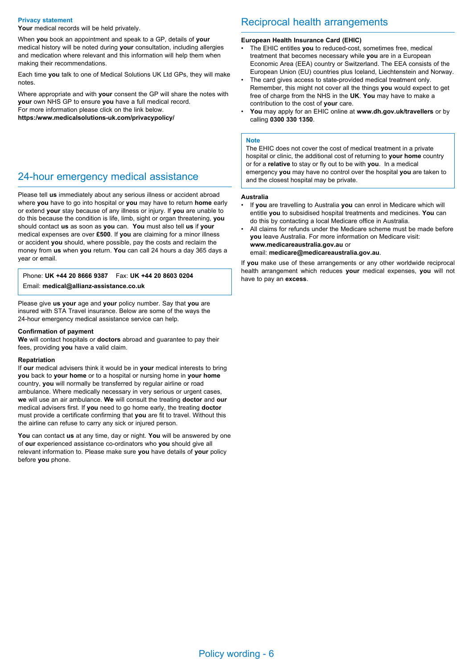#### **Privacy statement**

Your medical records will be held privately.

When **you** book an appointment and speak to a GP, details of **your** medical history will be noted during **your** consultation, including allergies and medication where relevant and this information will help them when making their recommendations.

Each time **you** talk to one of Medical Solutions UK Ltd GPs, they will make notes.

Where appropriate and with **your** consent the GP will share the notes with **your** own NHS GP to ensure **you** have a full medical record. For more information please click on the link below.

**https:/www.medicalsolutions-uk.com/privacypolicy/**

## 24-hour emergency medical assistance

Please tell **us** immediately about any serious illness or accident abroad where **you** have to go into hospital or **you** may have to return **home** early or extend **your** stay because of any illness or injury. If **you** are unable to do this because the condition is life, limb, sight or organ threatening, **you** should contact **us** as soon as **you** can. **You** must also tell **us** if **your** medical expenses are over **£500**. If **you** are claiming for a minor illness or accident **you** should, where possible, pay the costs and reclaim the money from **us** when **you** return. **You** can call 24 hours a day 365 days a year or email.

Phone: **UK +44 20 8666 9387** Fax: **UK +44 20 8603 0204**

Email: **medical@allianz-assistance.co.uk**

Please give **us your** age and **your** policy number. Say that **you** are insured with STA Travel insurance. Below are some of the ways the 24-hour emergency medical assistance service can help.

#### **Confirmation of payment**

**We** will contact hospitals or **doctors** abroad and guarantee to pay their fees, providing **you** have a valid claim.

#### **Repatriation**

If **our** medical advisers think it would be in **your** medical interests to bring **you** back to **your home** or to a hospital or nursing home in **your home**  country, **you** will normally be transferred by regular airline or road ambulance. Where medically necessary in very serious or urgent cases, **we** will use an air ambulance. **We** will consult the treating **doctor** and **our** medical advisers first. If **you** need to go home early, the treating **doctor** must provide a certificate confirming that **you** are fit to travel. Without this the airline can refuse to carry any sick or injured person.

**You** can contact **us** at any time, day or night. **You** will be answered by one of **our** experienced assistance co-ordinators who **you** should give all relevant information to. Please make sure **you** have details of **your** policy before **you** phone.

## Reciprocal health arrangements

#### **European Health Insurance Card (EHIC)**

- The EHIC entitles **you** to reduced-cost, sometimes free, medical treatment that becomes necessary while **you** are in a European Economic Area (EEA) country or Switzerland. The EEA consists of the European Union (EU) countries plus Iceland, Liechtenstein and Norway.
- The card gives access to state-provided medical treatment only. Remember, this might not cover all the things **you** would expect to get free of charge from the NHS in the **UK**. **You** may have to make a contribution to the cost of **your** care.
- **You** may apply for an EHIC online at **www.dh.gov.uk/travellers** or by calling **0300 330 1350**.

#### **Note**

The EHIC does not cover the cost of medical treatment in a private hospital or clinic, the additional cost of returning to **your home** country or for a **relative** to stay or fly out to be with **you**. In a medical emergency **you** may have no control over the hospital **you** are taken to and the closest hospital may be private.

#### **Australia**

- If **you** are travelling to Australia **you** can enrol in Medicare which will entitle **you** to subsidised hospital treatments and medicines. **You** can do this by contacting a local Medicare office in Australia.
- All claims for refunds under the Medicare scheme must be made before **you** leave Australia. For more information on Medicare visit: **www.medicareaustralia.gov.au** or

email: **medicare@medicareaustralia.gov.au**.

If **you** make use of these arrangements or any other worldwide reciprocal health arrangement which reduces **your** medical expenses, **you** will not have to pay an **excess**.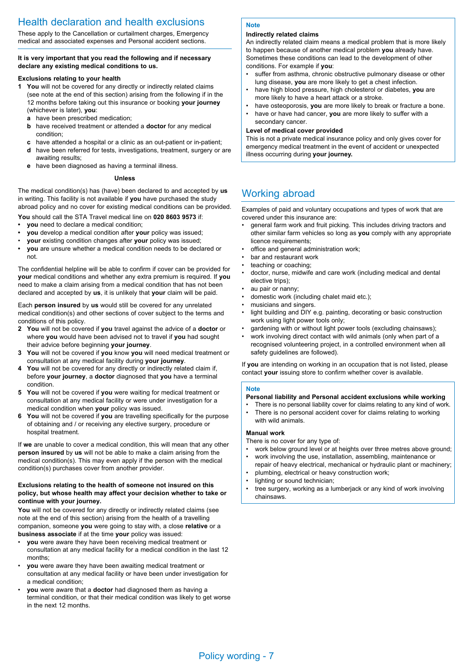# Health declaration and health exclusions

These apply to the Cancellation or curtailment charges, Emergency medical and associated expenses and Personal accident sections.

## **It is very important that you read the following and if necessary declare any existing medical conditions to us.**

## **Exclusions relating to your health**

- **1 You** will not be covered for any directly or indirectly related claims (see note at the end of this section) arising from the following if in the 12 months before taking out this insurance or booking **your journey** (whichever is later), **you**:
	- **a** have been prescribed medication;
	- **b** have received treatment or attended a **doctor** for any medical condition;
	- **c** have attended a hospital or a clinic as an out-patient or in-patient;
	- **d** have been referred for tests, investigations, treatment, surgery or are awaiting results;
	- **e** have been diagnosed as having a terminal illness.

### **Unless**

The medical condition(s) has (have) been declared to and accepted by **us**  in writing. This facility is not available if **you** have purchased the study abroad policy and no cover for existing medical conditions can be provided.

**You** should call the STA Travel medical line on **020 8603 9573** if:

- **• you** need to declare a medical condition;
- **• you** develop a medical condition after **your** policy was issued;
- **your** existing condition changes after **your** policy was issued;
- **• you** are unsure whether a medical condition needs to be declared or not.

The confidential helpline will be able to confirm if cover can be provided for **your** medical conditions and whether any extra premium is required. If **you**  need to make a claim arising from a medical condition that has not been declared and accepted by **us**, it is unlikely that **your** claim will be paid.

Each **person insured** by **us** would still be covered for any unrelated medical condition(s) and other sections of cover subject to the terms and conditions of this policy.

- **2 You** will not be covered if **you** travel against the advice of a **doctor** or where **you** would have been advised not to travel if **you** had sought their advice before beginning **your journey**.
- **3 You** will not be covered if **you** know **you** will need medical treatment or consultation at any medical facility during **your journey**.
- **4 You** will not be covered for any directly or indirectly related claim if, before **your journey**, a **doctor** diagnosed that **you** have a terminal condition.
- **5 You** will not be covered if **you** were waiting for medical treatment or consultation at any medical facility or were under investigation for a medical condition when **your** policy was issued.
- **6 You** will not be covered if **you** are travelling specifically for the purpose of obtaining and / or receiving any elective surgery, procedure or hospital treatment.

If **we** are unable to cover a medical condition, this will mean that any other **person insured** by **us** will not be able to make a claim arising from the medical condition(s). This may even apply if the person with the medical condition(s) purchases cover from another provider.

### **Exclusions relating to the health of someone not insured on this policy, but whose health may affect your decision whether to take or continue with your journey.**

You will not be covered for any directly or indirectly related claims (see note at the end of this section) arising from the health of a travelling companion, someone **you** were going to stay with, a close **relative** or a **business associate** if at the time **your** policy was issued:

- **you** were aware they have been receiving medical treatment or consultation at any medical facility for a medical condition in the last 12 months;
- **you** were aware they have been awaiting medical treatment or consultation at any medical facility or have been under investigation for a medical condition;
- **you** were aware that a **doctor** had diagnosed them as having a terminal condition, or that their medical condition was likely to get worse in the next 12 months.

### **Note**

## **Indirectly related claims**

An indirectly related claim means a medical problem that is more likely to happen because of another medical problem **you** already have. Sometimes these conditions can lead to the development of other conditions. For example if **you**:

- suffer from asthma, chronic obstructive pulmonary disease or other lung disease, **you** are more likely to get a chest infection.
- have high blood pressure, high cholesterol or diabetes, **you** are more likely to have a heart attack or a stroke.
- have osteoporosis, **you** are more likely to break or fracture a bone.
- have or have had cancer, **you** are more likely to suffer with a secondary cancer.

### **Level of medical cover provided**

This is not a private medical insurance policy and only gives cover for emergency medical treatment in the event of accident or unexpected illness occurring during **your journey.**

## Working abroad

Examples of paid and voluntary occupations and types of work that are covered under this insurance are:

- general farm work and fruit picking. This includes driving tractors and other similar farm vehicles so long as **you** comply with any appropriate licence requirements;
- office and general administration work;
	- bar and restaurant work
- teaching or coaching;
- doctor, nurse, midwife and care work (including medical and dental elective trips);
- au pair or nanny
- domestic work (including chalet maid etc.);
- musicians and singers.
- light building and DIY e.g. painting, decorating or basic construction work using light power tools only;
- gardening with or without light power tools (excluding chainsaws);
- work involving direct contact with wild animals (only when part of a recognised volunteering project, in a controlled environment when all safety guidelines are followed).

If **you** are intending on working in an occupation that is not listed, please contact **your** issuing store to confirm whether cover is available.

### **Note**

## **Personal liability and Personal accident exclusions while working**

- There is no personal liability cover for claims relating to any kind of work. There is no personal accident cover for claims relating to working
- with wild animals.

## **Manual work**

- There is no cover for any type of:
- work below ground level or at heights over three metres above ground;
- work involving the use, installation, assembling, maintenance or repair of heavy electrical, mechanical or hydraulic plant or machinery;
- plumbing, electrical or heavy construction work;
- lighting or sound technician;
- tree surgery, working as a lumberjack or any kind of work involving chainsaws.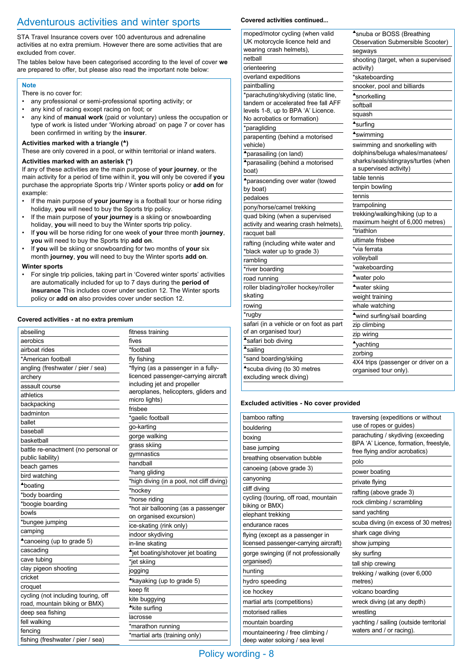# Adventurous activities and winter sports

STA Travel Insurance covers over 100 adventurous and adrenaline activities at no extra premium. However there are some activities that are excluded from cover.

The tables below have been categorised according to the level of cover **we** are prepared to offer, but please also read the important note below:

## **Note**

There is no cover for:

- any professional or semi-professional sporting activity; or
- any kind of racing except racing on foot; or
- any kind of **manual work** (paid or voluntary) unless the occupation or type of work is listed under 'Working abroad' on page 7 or cover has been confirmed in writing by the **insurer**.

## Activities marked with a triangle (<sup> $\triangle$ </sup>)

These are only covered in a pool, or within territorial or inland waters.

## **Activities marked with an asterisk (\*)**

If any of these activities are the main purpose of **your journey**, or the main activity for a period of time within it, **you** will only be covered if **you**  purchase the appropriate Sports trip / Winter sports policy or **add on** for example:

- If the main purpose of **your journey** is a football tour or horse riding holiday, **you** will need to buy the Sports trip policy.
- If the main purpose of **your journey** is a skiing or snowboarding holiday, **you** will need to buy the Winter sports trip policy.
- If **you** will be horse riding for one week of **your** three month **journey**, **you** will need to buy the Sports trip **add on**.
- If **you** will be skiing or snowboarding for two months of **your** six month **journey**, **you** will need to buy the Winter sports **add on**.

## **Winter sports**

• For single trip policies, taking part in 'Covered winter sports' activities are automatically included for up to 7 days during the **period of insurance** This includes cover under section 12. The Winter sports policy or **add on** also provides cover under section 12.

## **Covered activities - at no extra premium**

| abseiling                           | fitness training                              |
|-------------------------------------|-----------------------------------------------|
| aerobics                            | fives                                         |
| airboat rides                       | *football                                     |
| *American football                  | fly fishing                                   |
| angling (freshwater / pier / sea)   | *flying (as a passenger in a fully-           |
| archery                             | licenced passenger-carrying aircraft          |
| assault course                      | including jet and propeller                   |
| athletics                           | aeroplanes, helicopters, gliders and          |
| backpacking                         | micro lights)                                 |
| badminton                           | frisbee                                       |
| ballet                              | *gaelic football                              |
| baseball                            | go-karting                                    |
| basketball                          | gorge walking                                 |
| battle re-enactment (no personal or | grass skiing                                  |
| public liability)                   | gymnastics                                    |
| beach games                         | handball                                      |
| bird watching                       | *hang gliding                                 |
| <b>A</b> boating                    | *high diving (in a pool, not cliff diving)    |
| *body boarding                      | *hockey                                       |
| *boogie boarding                    | *horse riding                                 |
| bowls                               | *hot air ballooning (as a passenger           |
| *bungee jumping                     | on organised excursion)                       |
| camping                             | ice-skating (rink only)                       |
| *canoeing (up to grade 5)           | indoor skydiving                              |
| cascading                           | in-line skating                               |
| cave tubing                         | <sup>▲</sup> jet boating/shotover jet boating |
| clay pigeon shooting                | *jet skiing                                   |
| cricket                             | jogging                                       |
| croquet                             | *kayaking (up to grade 5)                     |
| cycling (not including touring, off | keep fit                                      |
| road, mountain biking or BMX)       | kite buggying                                 |
| deep sea fishing                    | <sup>A</sup> kite surfing                     |
| fell walking                        | lacrosse                                      |
| fencing                             | *marathon running                             |
| fishing (freshwater / pier / sea)   | *martial arts (training only)                 |
|                                     |                                               |

## **Covered activities continued...**

| moped/motor cycling (when valid             | Asnuba or BOSS (Breathing            |
|---------------------------------------------|--------------------------------------|
| UK motorcycle licence held and              | Observation Submersible Scooter)     |
| wearing crash helmets),                     | segways                              |
| netball                                     | shooting (target, when a supervised  |
| orienteering                                | activity)                            |
| overland expeditions                        | *skateboarding                       |
| paintballing                                | snooker, pool and billiards          |
| *parachuting/skydiving (static line,        | <b>*snorkelling</b>                  |
| tandem or accelerated free fall AFF         | softball                             |
| levels 1-8, up to BPA 'A' Licence.          | squash                               |
| No acrobatics or formation)<br>*paragliding | <b>A</b> surfing                     |
| parapenting (behind a motorised             | swimming                             |
| vehicle)                                    | swimming and snorkelling with        |
| *parasailing (on land)                      | dolphins/beluga whales/manatees/     |
| *parasailing (behind a motorised            | sharks/seals/stingrays/turtles (when |
| boat)                                       | a supervised activity)               |
| ▲ parascending over water (towed            | table tennis                         |
| by boat)                                    | tenpin bowling                       |
| pedaloes                                    | tennis                               |
| pony/horse/camel trekking                   | trampolining                         |
| quad biking (when a supervised              | trekking/walking/hiking (up to a     |
| activity and wearing crash helmets),        | maximum height of 6,000 metres)      |
| racquet ball                                | *triathlon                           |
| rafting (including white water and          | ultimate frisbee                     |
| *black water up to grade 3)                 | *via ferrata                         |
| rambling                                    | volleyball                           |
| *river boarding                             | *wakeboarding                        |
| road running                                | <b><sup>▲</sup>water polo</b>        |
| roller blading/roller hockey/roller         | water skiing                         |
| skating                                     | weight training                      |
| rowing                                      | whale watching                       |
| *rugby                                      | wind surfing/sail boarding           |
| safari (in a vehicle or on foot as part     | zip climbing                         |
| of an organised tour)                       | zip wiring                           |
| *safari bob diving                          | <b>*</b> yachting                    |
| <b>A</b> sailing                            | zorbing                              |
| *sand boarding/skiing                       | 4X4 trips (passenger or driver on a  |
| <sup>▲</sup> scuba diving (to 30 metres     | organised tour only).                |
| excluding wreck diving)                     |                                      |

## **Excluded activities - No cover provided**

| bamboo rafting                                         | traversing (expeditions or without<br>use of ropes or guides)<br>parachuting / skydiving (exceeding |
|--------------------------------------------------------|-----------------------------------------------------------------------------------------------------|
| bouldering                                             |                                                                                                     |
| boxing                                                 |                                                                                                     |
| base jumping                                           | BPA 'A' Licence, formation, freestyle,<br>free flying and/or acrobatics)                            |
| breathing observation bubble                           | polo                                                                                                |
| canoeing (above grade 3)                               | power boating                                                                                       |
| canyoning                                              | private flying                                                                                      |
| cliff diving                                           | rafting (above grade 3)                                                                             |
| cycling (touring, off road, mountain<br>biking or BMX) | rock climbing / scrambling                                                                          |
| elephant trekking                                      | sand yachting                                                                                       |
| endurance races                                        | scuba diving (in excess of 30 metres)                                                               |
| flying (except as a passenger in                       | shark cage diving                                                                                   |
| licensed passenger-carrying aircraft)                  | show jumping                                                                                        |
| gorge swinging (if not professionally                  | sky surfing                                                                                         |
| organised)                                             | tall ship crewing                                                                                   |
| hunting                                                | trekking / walking (over 6,000                                                                      |
| hydro speeding                                         | metres)                                                                                             |
| ice hockey                                             | volcano boarding                                                                                    |
| martial arts (competitions)                            | wreck diving (at any depth)                                                                         |
| motorised rallies                                      | wrestling                                                                                           |
| mountain boarding                                      | yachting / sailing (outside territorial                                                             |
| mountaineering / free climbing /                       | waters and / or racing).                                                                            |
| deep water soloing / sea level                         |                                                                                                     |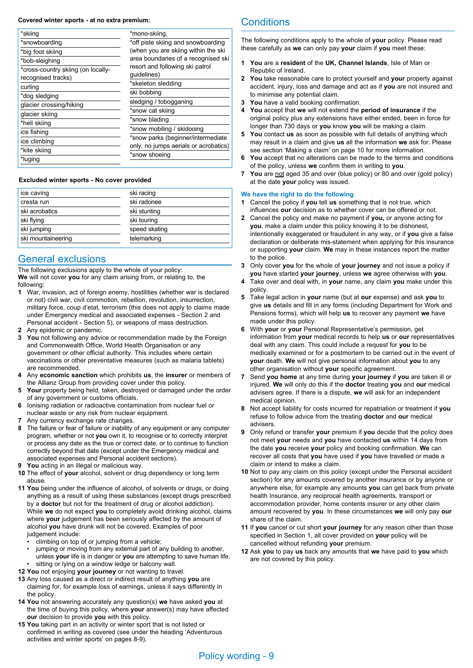#### **Covered winter sports - at no extra premium:**

| *skiing                                                  | *mono-skiing,                                                                                                                                                                             |
|----------------------------------------------------------|-------------------------------------------------------------------------------------------------------------------------------------------------------------------------------------------|
| *snowboarding                                            | *off piste skiing and snowboarding                                                                                                                                                        |
| *big foot skiing                                         | (when you are skiing within the ski                                                                                                                                                       |
| *bob-sleighing                                           | area boundaries of a recognised ski                                                                                                                                                       |
| *cross-country skiing (on locally-<br>recognised tracks) | resort and following ski patrol<br>guidelines)                                                                                                                                            |
| curling                                                  | *skeleton sledding                                                                                                                                                                        |
| *dog sledging                                            | ski bobbing                                                                                                                                                                               |
| glacier crossing/hiking                                  | sledging / tobogganing<br>*snow cat skiing<br>*snow blading<br>*snow mobiling / skidooing<br>*snow parks (beginner/intermediate<br>only, no jumps aerials or acrobatics)<br>*snow shoeing |
| glacier skiing                                           |                                                                                                                                                                                           |
| *heli skiing                                             |                                                                                                                                                                                           |
| ice fishing                                              |                                                                                                                                                                                           |
| ice climbing                                             |                                                                                                                                                                                           |
| *kite skiing                                             |                                                                                                                                                                                           |
| *luging                                                  |                                                                                                                                                                                           |

#### **Excluded winter sports - No cover provided**

| ice caving         | ski racing    |
|--------------------|---------------|
| cresta run         | ski radonee   |
| ski acrobatics     | ski stunting  |
| ski flying         | ski touring   |
| ski jumping        | speed skating |
| ski mountaineering | telemarking   |

## General exclusions

The following exclusions apply to the whole of your policy: **We** will not cover **you** for any claim arising from, or relating to, the following:

- **1** War, invasion, act of foreign enemy, hostilities (whether war is declared or not) civil war, civil commotion, rebellion, revolution, insurrection, military force, coup d'etat, terrorism (this does not apply to claims made under Emergency medical and associated expenses - Section 2 and Personal accident - Section 5), or weapons of mass destruction.
- **2** Any epidemic or pandemic.<br>**3** You not following any advi
- **3 You** not following any advice or recommendation made by the Foreign and Commonwealth Office, World Health Organisation or any government or other official authority. This includes where certain vaccinations or other preventative measures (such as malaria tablets) are recommended.
- **4** Any **economic sanction** which prohibits **us**, the **insurer** or members of the Allianz Group from providing cover under this policy.
- **5 Your** property being held, taken, destroyed or damaged under the order of any government or customs officials.
- **6** Ionising radiation or radioactive contamination from nuclear fuel or nuclear waste or any risk from nuclear equipment.
- **7** Any currency exchange rate changes.
- **8** The failure or fear of failure or inability of any equipment or any computer program, whether or not **you** own it, to recognise or to correctly interpret or process any date as the true or correct date, or to continue to function correctly beyond that date (except under the Emergency medical and associated expenses and Personal accident sections).
- **9 You** acting in an illegal or malicious way.
- **10** The effect of **your** alcohol, solvent or drug dependency or long term abuse.
- **11 You** being under the influence of alcohol, of solvents or drugs, or doing anything as a result of using these substances (except drugs prescribed by a **doctor** but not for the treatment of drug or alcohol addiction). While **we** do not expect **you** to completely avoid drinking alcohol, claims where **your** judgement has been seriously affected by the amount of alcohol **you** have drunk will not be covered. Examples of poor judgement include:
	- climbing on top of or jumping from a vehicle;
	- jumping or moving from any external part of any building to another, unless **your** life is in danger or **you** are attempting to save human life. sitting or lying on a window ledge or balcony wall.
- **12 You** not enjoying **your journey** or not wanting to travel.
- **13** Any loss caused as a direct or indirect result of anything **you** are claiming for, for example loss of earnings, unless it says differently in the policy.
- **14 You** not answering accurately any question(s) **we** have asked **you** at the time of buying this policy, where **your** answer(s) may have affected **our** decision to provide **you** with this policy.
- **15 You** taking part in an activity or winter sport that is not listed or confirmed in writing as covered (see under the heading 'Adventurous activities and winter sports' on pages 8-9).

## **Conditions**

The following conditions apply to the whole of **your** policy. Please read these carefully as **we** can only pay **your** claim if **you** meet these:

- **1 You** are a **resident** of the **UK, Channel Islands**, Isle of Man or Republic of Ireland.
- **2 You** take reasonable care to protect yourself and **your** property against accident, injury, loss and damage and act as if **you** are not insured and to minimise any potential claim.
- **3 You** have a valid booking confirmation.
- **4 You** accept that **we** will not extend the **period of insurance** if the original policy plus any extensions have either ended, been in force for longer than 730 days or **you** know **you** will be making a claim.
- **5 You** contact **us** as soon as possible with full details of anything which may result in a claim and give **us** all the information **we** ask for. Please see section 'Making a claim' on page 10 for more information.
- **6 You** accept that no alterations can be made to the terms and conditions of the policy, unless **we** confirm them in writing to **you**.
- **7 You** are not aged 35 and over (blue policy) or 80 and over (gold policy) at the date **your** policy was issued.

## **We have the right to do the following**

**1** Cancel the policy if **you** tell **us** something that is not true, which influences **our** decision as to whether cover can be offered or not.

- **2** Cancel the policy and make no payment if **you,** or anyone acting for **you**, make a claim under this policy knowing it to be dishonest, intentionally exaggerated or fraudulent in any way, or if **you** give a false declaration or deliberate mis-statement when applying for this insurance or supporting **your** claim. **We** may in these instances report the matter to the police.
- **3** Only cover **you** for the whole of **your journey** and not issue a policy if **you** have started **your journey**, unless **we** agree otherwise with **you**.
- **4** Take over and deal with, in **your** name, any claim **you** make under this policy.
- **5** Take legal action in **your** name (but at **our** expense) and ask **you** to give **us** details and fill in any forms (including Department for Work and Pensions forms), which will help **us** to recover any payment **we** have made under this policy.
- **6** With **your** or **your** Personal Representative's permission, get information from **your** medical records to help **us** or **our** representatives deal with any claim. This could include a request for **you** to be medically examined or for a postmortem to be carried out in the event of **your** death. **We** will not give personal information about **you** to any other organisation without **your** specific agreement.
- **7** Send **you home** at any time during **your journey** if **you** are taken ill or injured. **We** will only do this if the **doctor** treating **you** and **our** medical advisers agree. If there is a dispute, **we** will ask for an independent medical opinion.
- **8** Not accept liability for costs incurred for repatriation or treatment if **you** refuse to follow advice from the treating **doctor** and **our** medical advisers.
- **9** Only refund or transfer **your** premium if **you** decide that the policy does not meet **your** needs and **you** have contacted **us** within 14 days from the date **you** receive **your** policy and booking confirmation. **We** can recover all costs that **you** have used if **you** have travelled or made a claim or intend to make a claim.
- **10** Not to pay any claim on this policy (except under the Personal accident section) for any amounts covered by another insurance or by anyone or anywhere else, for example any amounts **you** can get back from private health Insurance, any reciprocal health agreements, transport or accommodation provider, home contents insurer or any other claim amount recovered by **you**. In these circumstances **we** will only pay **our** share of the claim.
- **11** If **you** cancel or cut short **your journey** for any reason other than those specified in Section 1, all cover provided on **your** policy will be cancelled without refunding **your** premium.
- **12** Ask **you** to pay **us** back any amounts that **we** have paid to **you** which are not covered by this policy.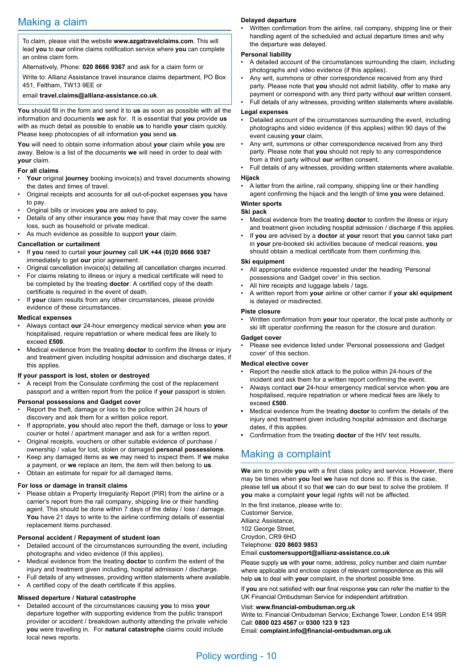To claim, please visit the website **www.azgatravelclaims.com**. This will lead **you** to **our** online claims notification service where **you** can complete an online claim form.

## Alternatively, Phone: **020 8666 9367** and ask for a claim form or

Write to: Allianz Assistance travel insurance claims department, PO Box 451, Feltham, TW13 9EE or

#### email **travel.claims@allianz-assistance.co.uk**.

**You** should fill in the form and send it to **us** as soon as possible with all the information and documents **we** ask for. It is essential that **you** provide **us** with as much detail as possible to enable **us** to handle **your** claim quickly. Please keep photocopies of all information **you** send **us**.

**You** will need to obtain some information about **your** claim while **you** are away. Below is a list of the documents **we** will need in order to deal with **your** claim.

### **For all claims**

- **Your** original **journey** booking invoice(s) and travel documents showing the dates and times of travel.
- Original receipts and accounts for all out-of-pocket expenses **you** have to pay.
- Original bills or invoices **you** are asked to pay.
- Details of any other insurance **you** may have that may cover the same loss, such as household or private medical.
- As much evidence as possible to support **your** claim.

### **Cancellation or curtailment**

- If **you** need to curtail **your journey** call **UK +44 (0)20 8666 9387** immediately to get **our** prior agreement.
- Original cancellation invoice(s) detailing all cancellation charges incurred.
- For claims relating to illness or injury a medical certificate will need to be completed by the treating **doctor**. A certified copy of the death certificate is required in the event of death.
- If **your** claim results from any other circumstances, please provide evidence of these circumstances.

#### **Medical expenses**

- Always contact **our** 24-hour emergency medical service when **you** are hospitalised, require repatriation or where medical fees are likely to exceed **£500**.
- **•** Medical evidence from the treating **doctor** to confirm the illness or injury and treatment given including hospital admission and discharge dates, if this applies.

### **If your passport is lost, stolen or destroyed**

• A receipt from the Consulate confirming the cost of the replacement passport and a written report from the police if **your** passport is stolen.

### **Personal possessions and Gadget cover**

- Report the theft, damage or loss to the police within 24 hours of discovery and ask them for a written police report.
- If appropriate, **you** should also report the theft, damage or loss to **your** courier or hotel / apartment manager and ask for a written report.
- Original receipts, vouchers or other suitable evidence of purchase / ownership / value for lost, stolen or damaged **personal possessions**.
- Keep any damaged items as **we** may need to inspect them. If **we** make a payment, or **we** replace an item, the item will then belong to **us**. • Obtain an estimate for repair for all damaged items.

## **For loss or damage in transit claims**

Please obtain a Property Irregularity Report (PIR) from the airline or a carrier's report from the rail company, shipping line or their handling agent. This should be done within 7 days of the delay / loss / damage. You have 21 days to write to the airline confirming details of essential replacement items purchased.

### **Personal accident / Repayment of student loan**

- Detailed account of the circumstances surrounding the event, including photographs and video evidence (if this applies).
- Medical evidence from the treating **doctor** to confirm the extent of the injury and treatment given including, hospital admission / discharge.
- Full details of any witnesses, providing written statements where available. • A certified copy of the death certificate if this applies.

## **Missed departure / Natural catastrophe**

• Detailed account of the circumstances causing **you** to miss **your** departure together with supporting evidence from the public transport provider or accident / breakdown authority attending the private vehicle **you** were travelling in. For **natural catastrophe** claims could include local news reports.

#### **Delayed departure**

• Written confirmation from the airline, rail company, shipping line or their handling agent of the scheduled and actual departure times and why the departure was delayed.

#### **Personal liability**

- A detailed account of the circumstances surrounding the claim, including photographs and video evidence (if this applies).
- Any writ, summons or other correspondence received from any third party. Please note that **you** should not admit liability, offer to make any payment or correspond with any third party without **our** written consent.
- Full details of any witnesses, providing written statements where available.

#### **Legal expenses**

- Detailed account of the circumstances surrounding the event, including photographs and video evidence (if this applies) within 90 days of the event causing **your** claim.
- Any writ, summons or other correspondence received from any third party. Please note that **you** should not reply to any correspondence from a third party without **our** written consent.
- Full details of any witnesses, providing written statements where available.

## **Hijack**

• A letter from the airline, rail company, shipping line or their handling agent confirming the hijack and the length of time **you** were detained.

### **Winter sports**

#### **Ski pack**

- Medical evidence from the treating **doctor** to confirm the illness or injury and treatment given including hospital admission / discharge if this applies.
- If **you** are advised by a **doctor** at **your** resort that **you** cannot take part in **your** pre-booked ski activities because of medical reasons, **you** should obtain a medical certificate from them confirming this.

### **Ski equipment**

- All appropriate evidence requested under the heading 'Personal possessions and Gadget cover' in this section.
- All hire receipts and luggage labels / tags.
- A written report from **your** airline or other carrier if **your ski equipment** is delayed or misdirected.

#### **Piste closure**

• Written confirmation from **your** tour operator, the local piste authority or ski lift operator confirming the reason for the closure and duration.

### **Gadget cover**

• Please see evidence listed under 'Personal possessions and Gadget cover' of this section.

## **Medical elective cover**

- Report the needle stick attack to the police within 24-hours of the incident and ask them for a written report confirming the event.
- Always contact **our** 24-hour emergency medical service when **you** are hospitalised, require repatriation or where medical fees are likely to exceed **£500**.
- **•** Medical evidence from the treating **doctor** to confirm the details of the injury and treatment given including hospital admission and discharge dates, if this applies.
- **•** Confirmation from the treating **doctor** of the HIV test results.

## Making a complaint

**We** aim to provide **you** with a first class policy and service. However, there may be times when **you** feel **we** have not done so. If this is the case, please tell **us** about it so that **we** can do **our** best to solve the problem. If **you** make a complaint **your** legal rights will not be affected.

In the first instance, please write to: Customer Service, Allianz Assistance, 102 George Street, Croydon, CR9 6HD Telephone: **020 8603 9853** 

#### Email **customersupport@allianz-assistance.co.uk**

Please supply **us** with **your** name, address, policy number and claim number where applicable and enclose copies of relevant correspondence as this will help **us** to deal with **your** complaint, in the shortest possible time.

If **you** are not satisfied with **our** final response **you** can refer the matter to the UK Financial Ombudsman Service for independent arbitration.

Visit: **www.financial-ombudsman.org.uk**

Write to: Financial Ombudsman Service, Exchange Tower, London E14 9SR Call: **0800 023 4567** or **0300 123 9 123**

Email: **complaint.info@financial-ombudsman.org.uk**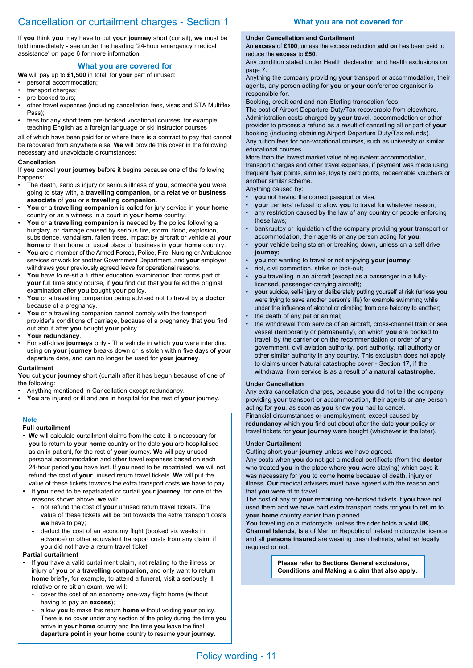If **you** think **you** may have to cut **your journey** short (curtail), **we** must be told immediately - see under the heading '24-hour emergency medical assistance' on page 6 for more information.

## **What you are covered for**

**We** will pay up to **£1,500** in total, for **your** part of unused:

- personal accommodation;
- transport charges;
- pre-booked tours;
- other travel expenses (including cancellation fees, visas and STA Multiflex Pass);
- fees for any short term pre-booked vocational courses, for example, teaching English as a foreign language or ski instructor courses

all of which have been paid for or where there is a contract to pay that cannot be recovered from anywhere else. **We** will provide this cover in the following necessary and unavoidable circumstances:

### **Cancellation**

If **you** cancel **your journey** before it begins because one of the following happens:

- The death, serious injury or serious illness of **you**, someone **you** were going to stay with, a **travelling companion**, or a **relative** or **business associate** of **you** or a **travelling companion**.
- **You** or a **travelling companion** is called for jury service in **your home** country or as a witness in a court in **your home** country.
- **You** or a **travelling companion** is needed by the police following a burglary, or damage caused by serious fire, storm, flood, explosion, subsidence, vandalism, fallen trees, impact by aircraft or vehicle at **your home** or their home or usual place of business in **your home** country.
- **You** are a member of the Armed Forces, Police, Fire, Nursing or Ambulance services or work for another Government Department, and **your** employer withdraws **your** previously agreed leave for operational reasons.
- You have to re-sit a further education examination that forms part of **your** full time study course, if **you** find out that **you** failed the original examination after **you** bought **your** policy.
- **You** or a travelling companion being advised not to travel by a **doctor**, because of a pregnancy.
- You or a travelling companion cannot comply with the transport provider's conditions of carriage, because of a pregnancy that **you** find out about after **you** bought **your** policy.
- **Your redundancy**.
- For self-drive **journeys** only The vehicle in which **you** were intending using on **your journey** breaks down or is stolen within five days of **your** departure date, and can no longer be used for **your journey**.

#### **Curtailment**

**You** cut **your journey** short (curtail) after it has begun because of one of the following:

- Anything mentioned in Cancellation except redundancy.
- **You** are injured or ill and are in hospital for the rest of **your** journey.

## **Full curtailment**

**Note**

- **We** will calculate curtailment claims from the date it is necessary for **you** to return to **your home** country or the date **you** are hospitalised as an in-patient, for the rest of **your** journey. **We** will pay unused personal accommodation and other travel expenses based on each 24-hour period **you** have lost. If **you** need to be repatriated, **we** will not refund the cost of **your** unused return travel tickets. **We** will put the value of these tickets towards the extra transport costs **we** have to pay.
- **•** If **you** need to be repatriated or curtail **your journey**, for one of the reasons shown above, **we** will:
	- **-** not refund the cost of **your** unused return travel tickets. The value of these tickets will be put towards the extra transport costs **we** have to pay;
	- **-** deduct the cost of an economy flight (booked six weeks in advance) or other equivalent transport costs from any claim, if **you** did not have a return travel ticket.

### **Partial curtailment**

- **•** If **you** have a valid curtailment claim, not relating to the illness or injury of **you** or a **travelling companion,** and only want to return **home** briefly, for example, to attend a funeral, visit a seriously ill relative or re-sit an exam, **we** will:
	- **-** cover the cost of an economy one-way flight home (without having to pay an **excess**);
	- **-** allow **you** to make this return **home** without voiding **your** policy. There is no cover under any section of the policy during the time **you** arrive in **your home** country and the time **you** leave the final **departure point** in **your home** country to resume **your journey.**

## **What you are not covered for**

## **Under Cancellation and Curtailment**

An **excess** of **£100**, unless the excess reduction **add on** has been paid to reduce the **excess** to **£50**.

Any condition stated under Health declaration and health exclusions on page 7.

Anything the company providing **your** transport or accommodation, their agents, any person acting for **you** or **your** conference organiser is responsible for.

Booking, credit card and non-Sterling transaction fees.

The cost of Airport Departure Duty/Tax recoverable from elsewhere. Administration costs charged by **your** travel, accommodation or other provider to process a refund as a result of cancelling all or part of **your** booking (including obtaining Airport Departure Duty/Tax refunds). Any tuition fees for non-vocational courses, such as university or similar educational courses.

More than the lowest market value of equivalent accommodation, transport charges and other travel expenses, if payment was made using frequent flyer points, airmiles, loyalty card points, redeemable vouchers or another similar scheme. Anything caused by:

- **you** not having the correct passport or visa;
- **your** carriers' refusal to allow **you** to travel for whatever reason;
- any restriction caused by the law of any country or people enforcing these laws;
- bankruptcy or liquidation of the company providing **your** transport or accommodation, their agents or any person acting for **you**;
- **your** vehicle being stolen or breaking down, unless on a self drive **journey**;
- **you** not wanting to travel or not enjoying **your journey**;
- riot, civil commotion, strike or lock-out;
- **you** travelling in an aircraft (except as a passenger in a fullylicensed, passenger-carrying aircraft);
- **your** suicide, self-injury or deliberately putting yourself at risk (unless **you** were trying to save another person's life) for example swimming while under the influence of alcohol or climbing from one balcony to another;
- the death of any pet or animal;
- the withdrawal from service of an aircraft, cross-channel train or sea vessel (temporarily or permanently), on which **you** are booked to travel, by the carrier or on the recommendation or order of any government, civil aviation authority, port authority, rail authority or other similar authority in any country. This exclusion does not apply to claims under Natural catastrophe cover - Section 17, if the withdrawal from service is as a result of a **natural catastrophe**.

### **Under Cancellation**

Any extra cancellation charges, because **you** did not tell the company providing **your** transport or accommodation, their agents or any person acting for **you**, as soon as **you** knew **you** had to cancel. Financial circumstances or unemployment, except caused by **redundancy** which **you** find out about after the date **your** policy or travel tickets for **your journey** were bought (whichever is the later).

### **Under Curtailment**

Cutting short **your journey** unless **we** have agreed. Any costs when **you** do not get a medical certificate (from the **doctor** who treated **you** in the place where **you** were staying) which says it was necessary for **you** to come **home** because of death, injury or illness. **Our** medical advisers must have agreed with the reason and that **you** were fit to travel.

The cost of any of **your** remaining pre-booked tickets if **you** have not used them and **we** have paid extra transport costs for **you** to return to **your home** country earlier than planned.

**You** travelling on a motorcycle, unless the rider holds a valid **UK, Channel Islands**, Isle of Man or Republic of Ireland motorcycle licence and all **persons insured** are wearing crash helmets, whether legally required or not.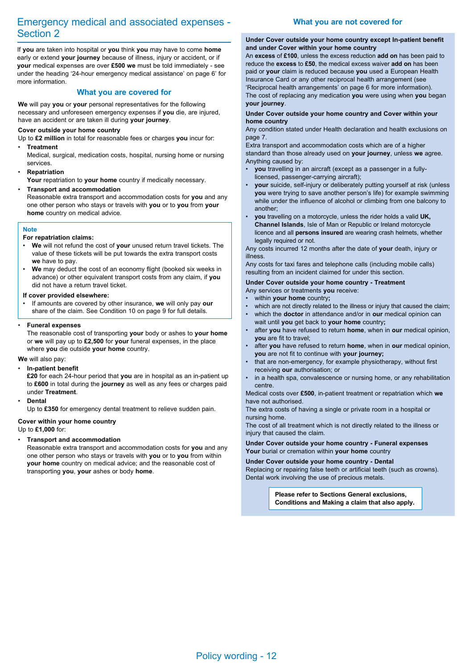# Emergency medical and associated expenses - Section 2

If **you** are taken into hospital or **you** think **you** may have to come **home** early or extend **your journey** because of illness, injury or accident, or if **your** medical expenses are over **£500 we** must be told immediately - see under the heading '24-hour emergency medical assistance' on page 6' for more information.

## **What you are covered for**

**We** will pay **you** or **your** personal representatives for the following necessary and unforeseen emergency expenses if **you** die, are injured, have an accident or are taken ill during **your journey**.

## **Cover outside your home country**

Up to **£2 million** in total for reasonable fees or charges **you** incur for: • **Treatment**

Medical, surgical, medication costs, hospital, nursing home or nursing services.

## • **Repatriation**

**Your** repatriation to **your home** country if medically necessary.

### • **Transport and accommodation**

Reasonable extra transport and accommodation costs for **you** and any one other person who stays or travels with **you** or to **you** from **your home** country on medical advice.

## **Note**

## **For repatriation claims:**

- **We** will not refund the cost of **your** unused return travel tickets. The value of these tickets will be put towards the extra transport costs **we** have to pay.
- **We** may deduct the cost of an economy flight (booked six weeks in advance) or other equivalent transport costs from any claim, if **you** did not have a return travel ticket.

### **If cover provided elsewhere:**

• If amounts are covered by other insurance, **we** will only pay **our** share of the claim. See Condition 10 on page 9 for full details.

### • **Funeral expenses**

The reasonable cost of transporting **your** body or ashes to **your home** or **we** will pay up to **£2,500** for **your** funeral expenses, in the place where **you** die outside **your home** country.

## **We** will also pay:

### • **In-patient benefit**

**£20** for each 24-hour period that **you** are in hospital as an in-patient up to **£600** in total during the **journey** as well as any fees or charges paid under **Treatment**.

### • **Dental**

Up to **£350** for emergency dental treatment to relieve sudden pain.

## **Cover within your home country**

Up to **£1,000** for:

## • **Transport and accommodation**

Reasonable extra transport and accommodation costs for **you** and any one other person who stays or travels with **you** or to **you** from within **your home** country on medical advice; and the reasonable cost of transporting **you**, **your** ashes or body **home**.

## **What you are not covered for**

#### **Under Cover outside your home country except In-patient benefit and under Cover within your home country**

An **excess** of **£100**, unless the excess reduction **add on** has been paid to reduce the **excess** to **£50**, the medical excess waiver **add on** has been paid or **your** claim is reduced because **you** used a European Health Insurance Card or any other reciprocal health arrangement (see 'Reciprocal health arrangements' on page 6 for more information). The cost of replacing any medication **you** were using when **you** began **your journey**.

### **Under Cover outside your home country and Cover within your home country**

Any condition stated under Health declaration and health exclusions on page 7.

Extra transport and accommodation costs which are of a higher standard than those already used on **your journey**, unless **we** agree. Anything caused by:

- **you** travelling in an aircraft (except as a passenger in a fullylicensed, passenger-carrying aircraft);
- **your** suicide, self-injury or deliberately putting yourself at risk (unless **you** were trying to save another person's life) for example swimming while under the influence of alcohol or climbing from one balcony to another;
- **you** travelling on a motorcycle, unless the rider holds a valid **UK, Channel Islands**, Isle of Man or Republic or Ireland motorcycle licence and all **persons insured** are wearing crash helmets, whether legally required or not.

Any costs incurred 12 months after the date of **your** death, injury or illness.

Any costs for taxi fares and telephone calls (including mobile calls) resulting from an incident claimed for under this section.

## **Under Cover outside your home country - Treatment**

- Any services or treatments **you** receive:
- within **your home** country**;**
- which are not directly related to the illness or injury that caused the claim;
- which the **doctor** in attendance and/or in **our** medical opinion can wait until **you** get back to **your home** country**;**
- after **you** have refused to return **home**, when in **our** medical opinion, **you** are fit to travel;
- after **you** have refused to return **home**, when in **our** medical opinion, **you** are not fit to continue with **your journey;**
- that are non-emergency, for example physiotherapy, without first receiving **our** authorisation; or
- in a health spa, convalescence or nursing home, or any rehabilitation centre.

Medical costs over **£500**, in-patient treatment or repatriation which **we** have not authorised.

The extra costs of having a single or private room in a hospital or nursing home.

The cost of all treatment which is not directly related to the illness or injury that caused the claim.

## **Under Cover outside your home country - Funeral expenses**

**Your** burial or cremation within **your home** country . **Under Cover outside your home country - Dental**

Replacing or repairing false teeth or artificial teeth (such as crowns). Dental work involving the use of precious metals.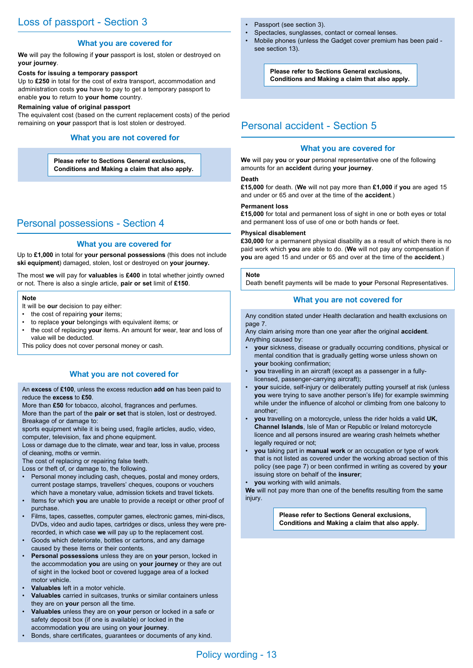## **What you are covered for**

**We** will pay the following if **your** passport is lost, stolen or destroyed on **your journey**.

## **Costs for issuing a temporary passport**

Up to **£250** in total for the cost of extra transport, accommodation and administration costs **you** have to pay to get a temporary passport to enable **you** to return to **your home** country.

### **Remaining value of original passport**

The equivalent cost (based on the current replacement costs) of the period remaining on **your** passport that is lost stolen or destroyed.

## **What you are not covered for**

**Please refer to Sections General exclusions, Conditions and Making a claim that also apply.**

# Personal possessions - Section 4

## **What you are covered for**

Up to **£1,000** in total for **your personal possessions** (this does not include **ski equipment**) damaged, stolen, lost or destroyed on **your journey.**

The most **we** will pay for **valuables** is **£400** in total whether jointly owned or not. There is also a single article, **pair or set** limit of **£150**.

### **Note**

It will be **our** decision to pay either:

- the cost of repairing **your** items;
- to replace **your** belongings with equivalent items; or
- the cost of replacing **your** items. An amount for wear, tear and loss of value will be deducted.
- This policy does not cover personal money or cash.

## **What you are not covered for**

An **excess** of **£100**, unless the excess reduction **add on** has been paid to reduce the **excess** to **£50**.

More than **£50** for tobacco, alcohol, fragrances and perfumes.

More than the part of the **pair or set** that is stolen, lost or destroyed. Breakage of or damage to:

sports equipment while it is being used, fragile articles, audio, video, computer, television, fax and phone equipment.

Loss or damage due to the climate, wear and tear, loss in value, process of cleaning, moths or vermin.

The cost of replacing or repairing false teeth.

Loss or theft of, or damage to, the following.

- Personal money including cash, cheques, postal and money orders, current postage stamps, travellers' cheques, coupons or vouchers which have a monetary value, admission tickets and travel tickets.
- Items for which **you** are unable to provide a receipt or other proof of purchase.
- Films, tapes, cassettes, computer games, electronic games, mini-discs, DVDs, video and audio tapes, cartridges or discs, unless they were prerecorded, in which case **we** will pay up to the replacement cost.
- Goods which deteriorate, bottles or cartons, and any damage caused by these items or their contents.
- **Personal possessions** unless they are on **your** person, locked in the accommodation **you** are using on **your journey** or they are out of sight in the locked boot or covered luggage area of a locked motor vehicle.
- **Valuables** left in a motor vehicle.
- **Valuables** carried in suitcases, trunks or similar containers unless they are on **your** person all the time.
- **Valuables** unless they are on **your** person or locked in a safe or safety deposit box (if one is available) or locked in the accommodation **you** are using on **your journey**.
- Bonds, share certificates, guarantees or documents of any kind.
- Passport (see section 3).
- Spectacles, sunglasses, contact or corneal lenses.
- Mobile phones (unless the Gadget cover premium has been paid see section 13).

**Please refer to Sections General exclusions, Conditions and Making a claim that also apply.**

# Personal accident - Section 5

## **What you are covered for**

**We** will pay **you** or **your** personal representative one of the following amounts for an **accident** during **your journey**.

## **Death**

**£15,000** for death. (**We** will not pay more than **£1,000** if **you** are aged 15 and under or 65 and over at the time of the **accident**.)

## **Permanent loss**

**£15,000** for total and permanent loss of sight in one or both eyes or total and permanent loss of use of one or both hands or feet.

## **Physical disablement**

**£30,000** for a permanent physical disability as a result of which there is no paid work which **you** are able to do. (**We** will not pay any compensation if **you** are aged 15 and under or 65 and over at the time of the **accident**.)

#### **Note**

Death benefit payments will be made to **your** Personal Representatives.

## **What you are not covered for**

Any condition stated under Health declaration and health exclusions on page 7.

Any claim arising more than one year after the original **accident**. Anything caused by:

- **your** sickness, disease or gradually occurring conditions, physical or mental condition that is gradually getting worse unless shown on **your** booking confirmation;
- **you** travelling in an aircraft (except as a passenger in a fullylicensed, passenger-carrying aircraft);
- **your** suicide, self-injury or deliberately putting yourself at risk (unless **you** were trying to save another person's life) for example swimming while under the influence of alcohol or climbing from one balcony to another;
- **you** travelling on a motorcycle, unless the rider holds a valid **UK, Channel Islands**, Isle of Man or Republic or Ireland motorcycle licence and all persons insured are wearing crash helmets whether legally required or not;
- **you** taking part in **manual work** or an occupation or type of work that is not listed as covered under the working abroad section of this policy (see page 7) or been confirmed in writing as covered by **your** issuing store on behalf of the **insurer**;
- **you** working with wild animals.

**We** will not pay more than one of the benefits resulting from the same injury.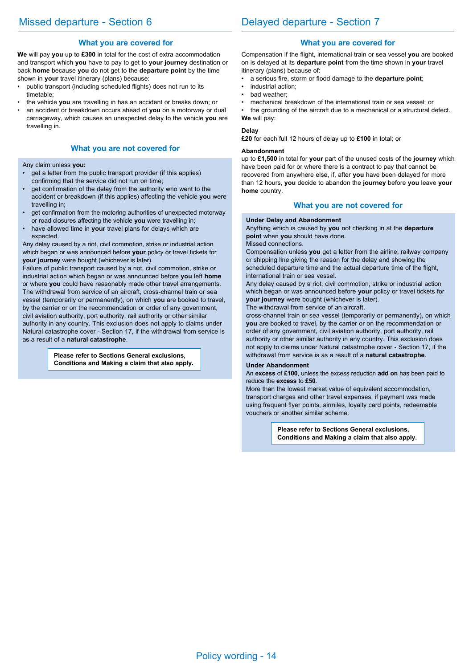## **What you are covered for**

**We** will pay **you** up to **£300** in total for the cost of extra accommodation and transport which **you** have to pay to get to **your journey** destination or back **home** because **you** do not get to the **departure point** by the time shown in **your** travel itinerary (plans) because:

- public transport (including scheduled flights) does not run to its timetable;
- the vehicle **you** are travelling in has an accident or breaks down; or
- an accident or breakdown occurs ahead of **you** on a motorway or dual carriageway, which causes an unexpected delay to the vehicle **you** are travelling in.

## **What you are not covered for**

Any claim unless **you:**

- get a letter from the public transport provider (if this applies) confirming that the service did not run on time;
- get confirmation of the delay from the authority who went to the accident or breakdown (if this applies) affecting the vehicle **you** were travelling in;
- get confirmation from the motoring authorities of unexpected motorway or road closures affecting the vehicle **you** were travelling in;
- have allowed time in **your** travel plans for delays which are expected.

Any delay caused by a riot, civil commotion, strike or industrial action which began or was announced before **your** policy or travel tickets for **your journey** were bought (whichever is later).

Failure of public transport caused by a riot, civil commotion, strike or industrial action which began or was announced before **you** left **home** or where **you** could have reasonably made other travel arrangements. The withdrawal from service of an aircraft, cross-channel train or sea vessel (temporarily or permanently), on which **you** are booked to travel, by the carrier or on the recommendation or order of any government, civil aviation authority, port authority, rail authority or other similar authority in any country. This exclusion does not apply to claims under Natural catastrophe cover - Section 17, if the withdrawal from service is as a result of a **natural catastrophe**.

> **Please refer to Sections General exclusions, Conditions and Making a claim that also apply.**

## **What you are covered for**

Compensation if the flight, international train or sea vessel **you** are booked on is delayed at its **departure point** from the time shown in **your** travel itinerary (plans) because of:

- a serious fire, storm or flood damage to the **departure point**;
- industrial action;
- bad weather;
- mechanical breakdown of the international train or sea vessel; or

the grounding of the aircraft due to a mechanical or a structural defect. **We** will pay:

## **Delay**

**£20** for each full 12 hours of delay up to **£100** in total; or

## **Abandonment**

up to **£1,500** in total for **your** part of the unused costs of the **journey** which have been paid for or where there is a contract to pay that cannot be recovered from anywhere else, if, after **you** have been delayed for more than 12 hours, **you** decide to abandon the **journey** before **you** leave **your home** country.

## **What you are not covered for**

### **Under Delay and Abandonment**

Anything which is caused by **you** not checking in at the **departure point** when **you** should have done.

#### Missed connections.

Compensation unless **you** get a letter from the airline, railway company or shipping line giving the reason for the delay and showing the scheduled departure time and the actual departure time of the flight, international train or sea vessel.

Any delay caused by a riot, civil commotion, strike or industrial action which began or was announced before **your** policy or travel tickets for **your journey** were bought (whichever is later).

The withdrawal from service of an aircraft,

cross-channel train or sea vessel (temporarily or permanently), on which **you** are booked to travel, by the carrier or on the recommendation or order of any government, civil aviation authority, port authority, rail authority or other similar authority in any country. This exclusion does not apply to claims under Natural catastrophe cover - Section 17, if the withdrawal from service is as a result of a **natural catastrophe**.

### **Under Abandonment**

An **excess** of **£100**, unless the excess reduction **add on** has been paid to reduce the **excess** to **£50**.

More than the lowest market value of equivalent accommodation, transport charges and other travel expenses, if payment was made using frequent flyer points, airmiles, loyalty card points, redeemable vouchers or another similar scheme.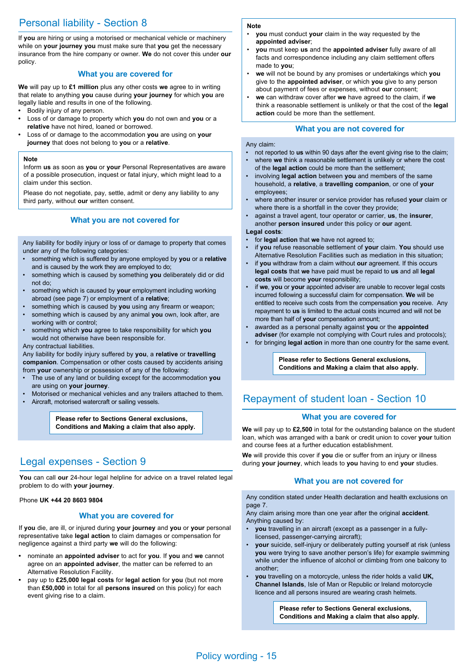# Personal liability - Section 8

If **you** are hiring or using a motorised or mechanical vehicle or machinery while on **your journey you** must make sure that **you** get the necessary insurance from the hire company or owner. **We** do not cover this under **our** policy.

## **What you are covered for**

**We** will pay up to **£1 million** plus any other costs **we** agree to in writing that relate to anything **you** cause during **your journey** for which **you** are legally liable and results in one of the following.

- **•** Bodily injury of any person.
- **•** Loss of or damage to property which **you** do not own and **you** or a **relative** have not hired, loaned or borrowed.
- **•** Loss of or damage to the accommodation **you** are using on **your journey** that does not belong to **you** or a **relative**.

### **Note**

Inform **us** as soon as **you** or **your** Personal Representatives are aware of a possible prosecution, inquest or fatal injury, which might lead to a claim under this section.

Please do not negotiate, pay, settle, admit or deny any liability to any third party, without **our** written consent.

## **What you are not covered for**

Any liability for bodily injury or loss of or damage to property that comes under any of the following categories:

- something which is suffered by anyone employed by **you** or a **relative** and is caused by the work they are employed to do;
- something which is caused by something **you** deliberately did or did not do;
- something which is caused by **your** employment including working abroad (see page 7) or employment of a **relative**;
- something which is caused by **you** using any firearm or weapon;
- something which is caused by any animal **you** own, look after, are working with or control;
- something which **you** agree to take responsibility for which **you** would not otherwise have been responsible for.

### Any contractual liabilities.

Any liability for bodily injury suffered by **you**, a **relative** or **travelling companion**. Compensation or other costs caused by accidents arising from **your** ownership or possession of any of the following:

- The use of any land or building except for the accommodation **you** are using on **your journey**.
- Motorised or mechanical vehicles and any trailers attached to them.
- Aircraft, motorised watercraft or sailing vessels.

**Please refer to Sections General exclusions, Conditions and Making a claim that also apply.**

# Legal expenses - Section 9

**You** can call **our** 24-hour legal helpline for advice on a travel related legal problem to do with **your journey**.

## Phone **UK +44 20 8603 9804**

## **What you are covered for**

If **you** die, are ill, or injured during **your journey** and **you** or **your** personal representative take **legal action** to claim damages or compensation for negligence against a third party **we** will do the following:

- **•** nominate an **appointed adviser** to act for **you**. If **you** and **we** cannot agree on an **appointed adviser**, the matter can be referred to an Alternative Resolution Facility.
- **•** pay up to **£25,000 legal costs** for **legal action** for **you** (but not more than **£50,000** in total for all **persons insured** on this policy) for each event giving rise to a claim.

### **Note**

- **you** must conduct **your** claim in the way requested by the **appointed adviser**;
- **you** must keep **us** and the **appointed adviser** fully aware of all facts and correspondence including any claim settlement offers made to **you**;
- **we** will not be bound by any promises or undertakings which **you** give to the **appointed adviser**, or which **you** give to any person about payment of fees or expenses, without **our** consent;
- **we** can withdraw cover after **we** have agreed to the claim, if **we** think a reasonable settlement is unlikely or that the cost of the **legal action** could be more than the settlement.

## **What you are not covered for**

### Any claim:

- not reported to **us** within 90 days after the event giving rise to the claim;
- where **we** think a reasonable settlement is unlikely or where the cost of the **legal action** could be more than the settlement;
- involving **legal action** between **you** and members of the same household, a **relative**, a **travelling companion**, or one of **your** employees;
- where another insurer or service provider has refused **your** claim or where there is a shortfall in the cover they provide;
- against a travel agent, tour operator or carrier, **us**, the **insurer**, another **person insured** under this policy or **our** agent.

## **Legal costs**:

- for **legal action** that **we** have not agreed to; • if **you** refuse reasonable settlement of **your** claim. **You** should use Alternative Resolution Facilities such as mediation in this situation;
- if **you** withdraw from a claim without **our** agreement. If this occurs **legal costs** that **we** have paid must be repaid to **us** and all **legal costs** will become **your** responsibility;
- if **we**, **you** or **your** appointed adviser are unable to recover legal costs incurred following a successful claim for compensation. **We** will be entitled to receive such costs from the compensation **you** receive. Any repayment to **us** is limited to the actual costs incurred and will not be more than half of **your** compensation amount;
- awarded as a personal penalty against **you** or the **appointed adviser** (for example not complying with Court rules and protocols);
- for bringing **legal action** in more than one country for the same event.

**Please refer to Sections General exclusions, Conditions and Making a claim that also apply.**

## Repayment of student loan - Section 10

## **What you are covered for**

**We** will pay up to **£2,500** in total for the outstanding balance on the student loan, which was arranged with a bank or credit union to cover **your** tuition and course fees at a further education establishment.

**We** will provide this cover if **you** die or suffer from an injury or illness during **your journey**, which leads to **you** having to end **your** studies.

## **What you are not covered for**

Any condition stated under Health declaration and health exclusions on page 7.

Any claim arising more than one year after the original **accident**. Anything caused by:

- **you** travelling in an aircraft (except as a passenger in a fullylicensed, passenger-carrying aircraft);
- **your** suicide, self-injury or deliberately putting yourself at risk (unless **you** were trying to save another person's life) for example swimming while under the influence of alcohol or climbing from one balcony to another;
- **you** travelling on a motorcycle, unless the rider holds a valid **UK, Channel Islands**, Isle of Man or Republic or Ireland motorcycle licence and all persons insured are wearing crash helmets.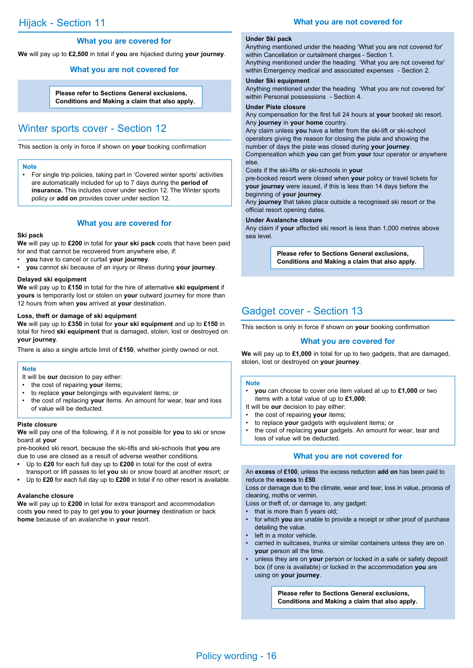## **What you are not covered for**

## **What you are covered for**

**We** will pay up to **£2,500** in total if **you** are hijacked during **your journey**.

## **What you are not covered for**

**Please refer to Sections General exclusions, Conditions and Making a claim that also apply.**

## Winter sports cover - Section 12

This section is only in force if shown on **your** booking confirmation

#### **Note**

• For single trip policies, taking part in 'Covered winter sports' activities are automatically included for up to 7 days during the **period of insurance.** This includes cover under section 12. The Winter sports policy or **add on** provides cover under section 12.

## **What you are covered for**

#### **Ski pack**

**We** will pay up to **£200** in total for **your ski pack** costs that have been paid for and that cannot be recovered from anywhere else, if:

- **you** have to cancel or curtail **your journey**.
- **you** cannot ski because of an injury or illness during **your journey**.

#### **Delayed ski equipment**

**We** will pay up to **£150** in total for the hire of alternative **ski equipment** if **yours** is temporarily lost or stolen on **your** outward journey for more than 12 hours from when **you** arrived at **your** destination.

#### **Loss, theft or damage of ski equipment**

**We** will pay up to **£350** in total for **your ski equipment** and up to **£150** in total for hired **ski equipment** that is damaged, stolen, lost or destroyed on **your journey**.

There is also a single article limit of **£150**, whether jointly owned or not.

### **Note**

It will be **our** decision to pay either:

- the cost of repairing **your** items;
- to replace **your** belongings with equivalent items; or
- the cost of replacing **your** items. An amount for wear, tear and loss of value will be deducted.

#### **Piste closure**

**We** will pay one of the following, if it is not possible for **you** to ski or snow board at **your**

pre-booked ski resort, because the ski-lifts and ski-schools that **you** are due to use are closed as a result of adverse weather conditions.

- **•** Up to **£20** for each full day up to **£200** in total for the cost of extra
- transport or lift passes to let **you** ski or snow board at another resort; or **•** Up to **£20** for each full day up to **£200** in total if no other resort is available.

## **Avalanche closure**

**We** will pay up to **£200** in total for extra transport and accommodation costs **you** need to pay to get **you** to **your journey** destination or back **home** because of an avalanche in **your** resort.

## **Under Ski pack**

Anything mentioned under the heading 'What you are not covered for' within Cancellation or curtailment charges - Section 1.

Anything mentioned under the heading 'What you are not covered for' within Emergency medical and associated expenses - Section 2.

# **Under Ski equipment**

Anything mentioned under the heading 'What you are not covered for' within Personal possessions - Section 4.

## **Under Piste closure**

Any compensation for the first full 24 hours at **your** booked ski resort. Any **journey** in **your home** country.

Any claim unless **you** have a letter from the ski-lift or ski-school operators giving the reason for closing the piste and showing the number of days the piste was closed during **your journey**. Compensation which **you** can get from **your** tour operator or anywhere else.

Costs if the ski-lifts or ski-schools in **your**

pre-booked resort were closed when **your** policy or travel tickets for **your journey** were issued, if this is less than 14 days before the beginning of **your journey**.

Any **journey** that takes place outside a recognised ski resort or the official resort opening dates.

#### **Under Avalanche closure**

Any claim if **your** affected ski resort is less than 1,000 metres above sea level.

> **Please refer to Sections General exclusions, Conditions and Making a claim that also apply.**

## Gadget cover - Section 13

This section is only in force if shown on **your** booking confirmation

### **What you are covered for**

**We** will pay up to **£1,000** in total for up to two gadgets, that are damaged, stolen, lost or destroyed on **your journey**.

#### **Note**

- **you** can choose to cover one item valued at up to **£1,000** or two items with a total value of up to **£1,000**;
- It will be **our** decision to pay either:
- the cost of repairing **your** items;
- to replace **your** gadgets with equivalent items; or
- the cost of replacing **your** gadgets. An amount for wear, tear and loss of value will be deducted.

## **What you are not covered for**

### An **excess** of **£100**, unless the excess reduction **add on** has been paid to reduce the **excess** to **£50**.

Loss or damage due to the climate, wear and tear, loss in value, process of cleaning, moths or vermin.

Loss or theft of, or damage to, any gadget:

- that is more than 5 years old;
- for which **you** are unable to provide a receipt or other proof of purchase detailing the value.
- left in a motor vehicle.
- carried in suitcases, trunks or similar containers unless they are on **your** person all the time.
- unless they are on **your** person or locked in a safe or safety deposit box (if one is available) or locked in the accommodation **you** are using on **your journey**.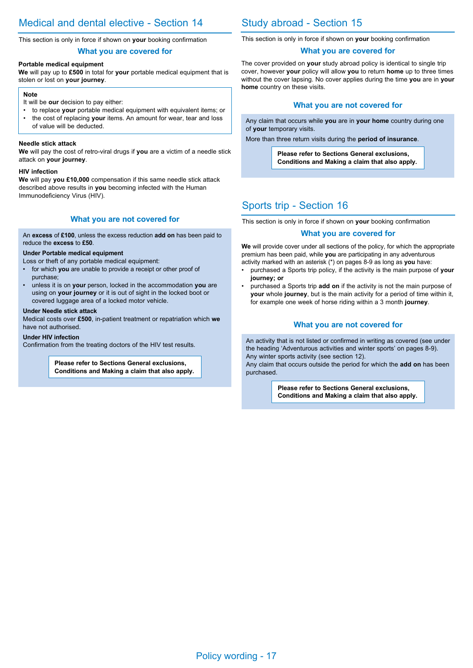This section is only in force if shown on **your** booking confirmation

## **What you are covered for**

## **Portable medical equipment**

**We** will pay up to **£500** in total for **your** portable medical equipment that is stolen or lost on **your journey**.

#### **Note**

- It will be **our** decision to pay either:
- to replace **your** portable medical equipment with equivalent items; or • the cost of replacing **your** items. An amount for wear, tear and loss
- of value will be deducted.

## **Needle stick attack**

**We** will pay the cost of retro-viral drugs if **you** are a victim of a needle stick attack on **your journey**.

### **HIV infection**

**We** will pay **you £10,000** compensation if this same needle stick attack described above results in **you** becoming infected with the Human Immunodeficiency Virus (HIV).

## **What you are not covered for**

An **excess** of **£100**, unless the excess reduction **add on** has been paid to reduce the **excess** to **£50**.

### **Under Portable medical equipment**

- Loss or theft of any portable medical equipment:
- for which **you** are unable to provide a receipt or other proof of purchase;
- unless it is on **your** person, locked in the accommodation **you** are using on **your journey** or it is out of sight in the locked boot or covered luggage area of a locked motor vehicle.

### **Under Needle stick attack**

Medical costs over **£500**, in-patient treatment or repatriation which **we** have not authorised.

## **Under HIV infection**

Confirmation from the treating doctors of the HIV test results.

**Please refer to Sections General exclusions, Conditions and Making a claim that also apply.**

# Study abroad - Section 15

This section is only in force if shown on **your** booking confirmation

## **What you are covered for**

The cover provided on **your** study abroad policy is identical to single trip cover, however **your** policy will allow **you** to return **home** up to three times without the cover lapsing. No cover applies during the time **you** are in **your home** country on these visits.

## **What you are not covered for**

Any claim that occurs while **you** are in **your home** country during one of **your** temporary visits.

More than three return visits during the **period of insurance**.

**Please refer to Sections General exclusions, Conditions and Making a claim that also apply.**

## Sports trip - Section 16

This section is only in force if shown on **your** booking confirmation

## **What you are covered for**

**We** will provide cover under all sections of the policy, for which the appropriate premium has been paid, while **you** are participating in any adventurous activity marked with an asterisk (\*) on pages 8-9 as long as **you** have:

- purchased a Sports trip policy, if the activity is the main purpose of **your journey; or**
- purchased a Sports trip **add on** if the activity is not the main purpose of **your** whole **journey**, but is the main activity for a period of time within it, for example one week of horse riding within a 3 month **journey**.

## **What you are not covered for**

An activity that is not listed or confirmed in writing as covered (see under the heading 'Adventurous activities and winter sports' on pages 8-9). Any winter sports activity (see section 12). Any claim that occurs outside the period for which the **add on** has been purchased.